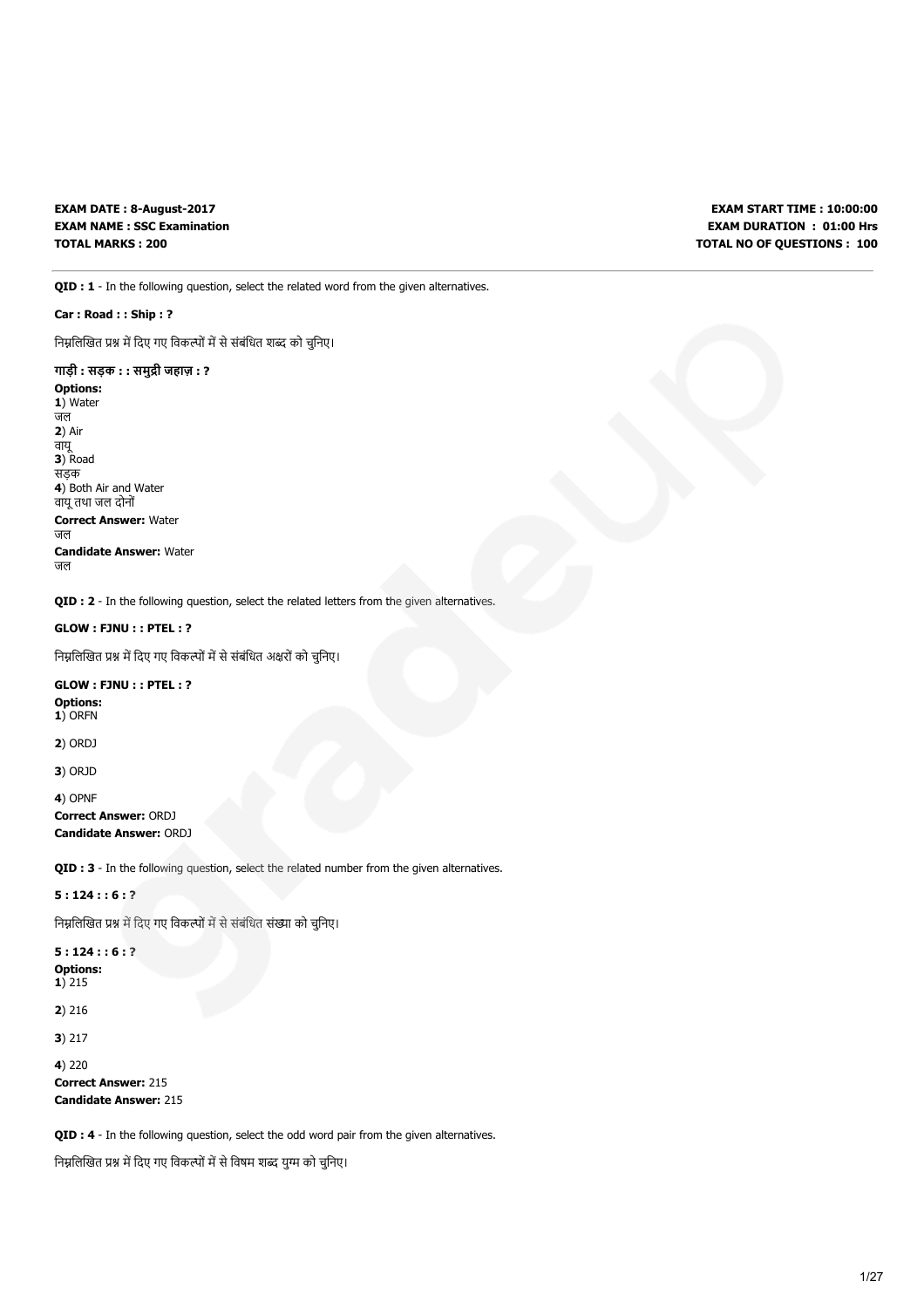EXAM DATE : 8-August-2017 EXAM NAME : SSC Examination TOTAL MARKS : 200

EXAM START TIME : 10:00:00 EXAM DURATION : 01:00 Hrs TOTAL NO OF QUESTIONS : 100

QID : 1 - In the following question, select the related word from the given alternatives.

# Car : Road : : Ship : ?

निम्नलिखित प्रश्न में दिए गए विकल्पों में से संबंधित शब्द को चुनिए।

# गाड़ी : सड़क : : समुद्री जहाज़ : ?

Options: 1) Water जल 2) Air वायू 3) Road सड़क 4) Both Air and Water वायूतथा जल दोनों Correct Answer: Water जल Candidate Answer: Water जल

QID : 2 - In the following question, select the related letters from the given alternatives.

# GLOW : FJNU : : PTEL : ?

निम्नलिखित प्रश्न में दिए गए विकल्पों में से संबंधित अक्षरों को चुनिए।

# GLOW : FJNU : : PTEL : ? Options: 1) ORFN

2) ORDJ

3) ORJD

# 4) OPNF Correct Answer: ORDJ Candidate Answer: ORDJ

QID : 3 - In the following question, select the related number from the given alternatives.

# 5 : 124 : : 6 : ?

निम्नलिखित प्रश्न में दिए गए विकल्पों में से संबंधित संख्या को चुनिए।

### 5 : 124 : : 6 : ? Options: 1) 215

2) 216

3) 217

```
4) 220
Correct Answer: 215
```
Candidate Answer: 215

QID : 4 - In the following question, select the odd word pair from the given alternatives.

निम्नलिखित प्रश्न में दिए गए विकल्पों में से विषम शब्द युग्म को चुनिए।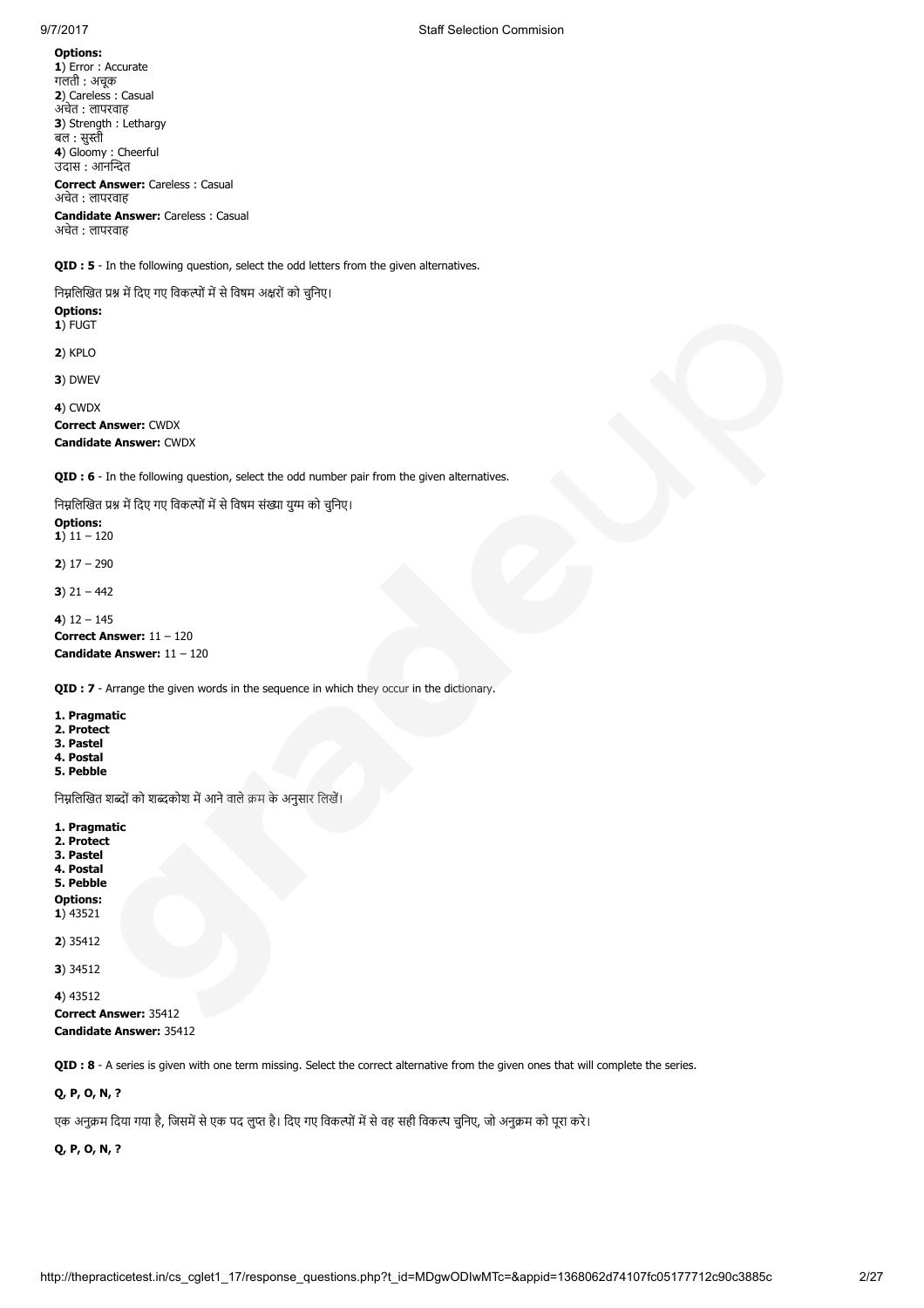Options: 1) Error : Accurate गलती : अचूक 2) Careless : Casual अचेत : लापरवाह 3) Strength : Lethargy बल : सुस्ती 4) Gloomy: Cheerful उदास : आनत Correct Answer: Careless : Casual अचेत : लापरवाह Candidate Answer: Careless : Casual अचेत : लापरवाह

QID : 5 - In the following question, select the odd letters from the given alternatives.

निम्नलिखित प्रश्न में दिए गए विकल्पों में से विषम अक्षरों को चुनिए।

Options: 1) FUGT

2) KPLO

3) DWEV

4) CWDX

Correct Answer: CWDX Candidate Answer: CWDX

QID : 6 - In the following question, select the odd number pair from the given alternatives.

निम्नलिखित प्रश्न में दिए गए विकल्पों में से विषम संख्या युग्म को चुनिए।

Options: 1)  $11 - 120$ 

2)  $17 - 290$ 

3)  $21 - 442$ 

4)  $12 - 145$ 

Correct Answer: 11 – 120 Candidate Answer: 11 – 120

QID : 7 - Arrange the given words in the sequence in which they occur in the dictionary.

1. Pragmatic 2. Protect 3. Pastel 4. Postal 5. Pebble

निम्नलिखित शब्दों को शब्दकोश में आने वाले क्रम के अनुसार लिखें।

1. Pragmatic 2. Protect 3. Pastel 4. Postal 5. Pebble Options: 1) 43521 2) 35412

3) 34512

4) 43512 Correct Answer: 35412 Candidate Answer: 35412

QID : 8 - A series is given with one term missing. Select the correct alternative from the given ones that will complete the series.

# Q, P, O, N, ?

एक अनुक्रम दिया गया है, जिसमें से एक पद लुप्त है। दिए गए विकल्पों में से वह सही विकल्प चुनिए, जो अनुक्रम को पूरा करे।

Q, P, O, N, ?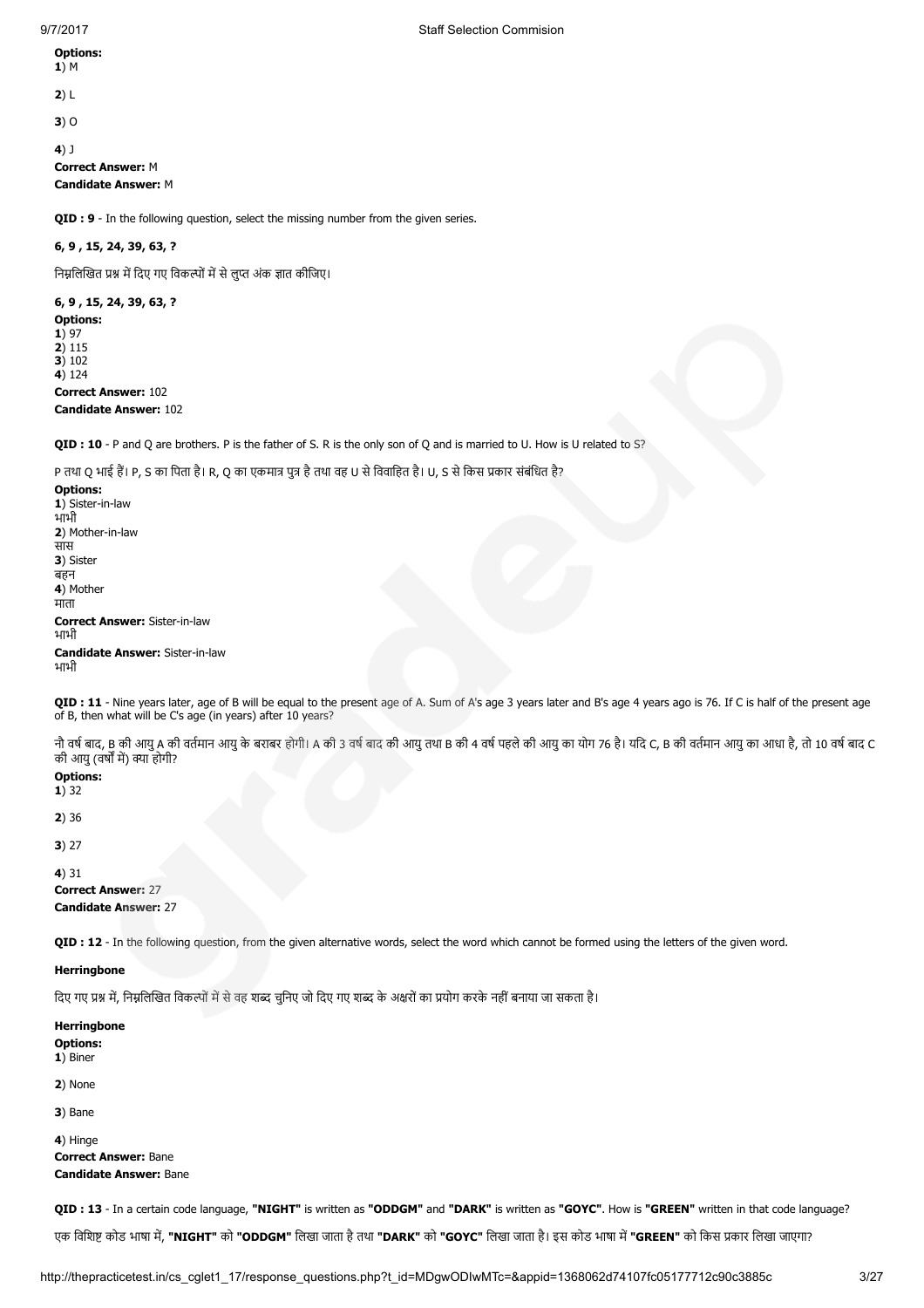Options: 1) M

2) L

3) O

4) J

Correct Answer: M Candidate Answer: M

**OID : 9** - In the following question, select the missing number from the given series.

# 6, 9 , 15, 24, 39, 63, ?

निम्नलिखित प्रश्न में दिए गए विकल्पों में से लुप्त अंक ज्ञात कीजिए।

6, 9 , 15, 24, 39, 63, ? Options: 1) 97 2) 115 3) 102 4) 124 Correct Answer: 102 Candidate Answer: 102

QID : 10 - P and Q are brothers. P is the father of S. R is the only son of Q and is married to U. How is U related to S?

P तथा O भाई हैं। P, S का पिता है। R, O का एकमात्र पत्र है तथा वह U से विवाहित है। U, S से किस प्रकार संबंधित है?

Options: 1) Sister-in-law भाभी 2) Mother-in-law सास 3) Sister बहन 4) Mother माता Correct Answer: Sister-in-law भाभी Candidate Answer: Sister-in-law भाभी

QID : 11 - Nine years later, age of B will be equal to the present age of A. Sum of A's age 3 years later and B's age 4 years ago is 76. If C is half of the present age of B, then what will be C's age (in years) after 10 years?

नौ वर्ष बाद, B की आयु A की वर्तमान आयु के बराबर होगी। A की 3 वर्ष बाद की आयु तथा B की भार की आयुका अधुका आधा है, तो अप बाद वर्षों का सुका आधा है, तो 10 वर्ष बाद C की आयु (वर्षों में) क्या होगी?

Options:  $1)$  32

2) 36

3) 27

4) 31

Correct Answer: 27 Candidate Answer: 27

QID : 12 - In the following question, from the given alternative words, select the word which cannot be formed using the letters of the given word.

### **Herringbone**

दिए गए प्रश्न में, निम्नलिखित विकल्पों में से वह शब्द चुनिए जो दिए गए शब्द के अक्षरों का प्रयोग करके नहीं बनाया जा सकता है।

**Herringbone** Options: 1) Biner

2) None

3) Bane

 $\triangle$ ) Hinge Correct Answer: Bane Candidate Answer: Bane

QID : 13 - In a certain code language, "NIGHT" is written as "ODDGM" and "DARK" is written as "GOYC". How is "GREEN" written in that code language?

एक विशिष्ट कोड भाषा में, "NIGHT" को "ODDGM" लिखा जाता है तथा "DARK" को "GOYC" लिखा जाता है। इस कोड भाषा में "GREEN" को किस प्रकार लिखा जाएगा?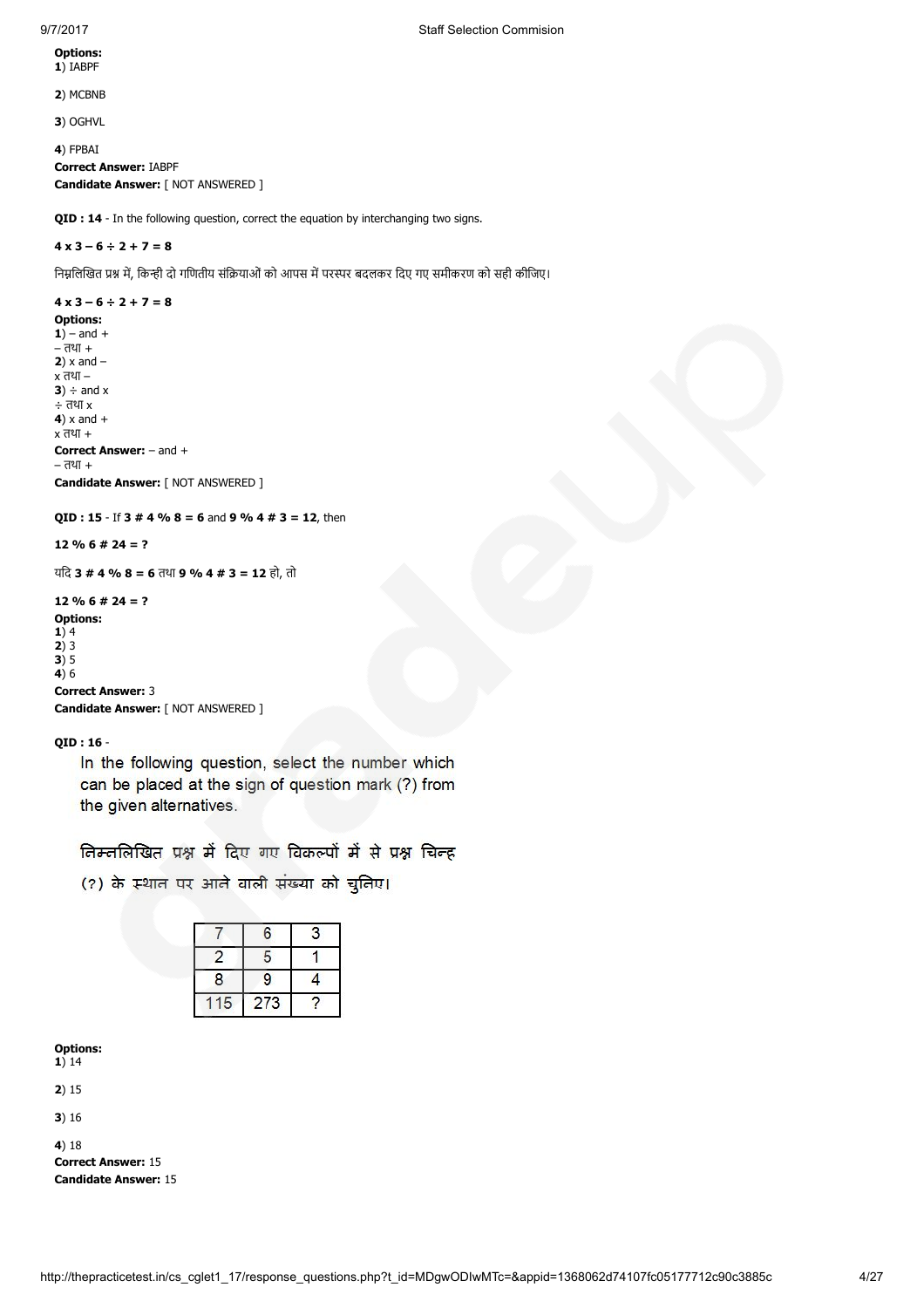Options: 1) IABPF

2) MCBNB

3) OGHVL

4) FPBAI Correct Answer: IABPF Candidate Answer: [ NOT ANSWERED ]

**OID : 14** - In the following question, correct the equation by interchanging two signs.

# $4 \times 3 - 6 \div 2 + 7 = 8$

निम्नलिखित प्रश्न में, किन्ही दो गणितीय संक्रियाओं को आपस में परस्पर बदलकर दिए गए समीकरण को सही कीजिए।

# $4 \times 3 - 6 \div 2 + 7 = 8$

Options:  $1)$  – and + – तथा +  $2)$  x and  $$ x तथा –  $3) \div and x$ ÷ तथा x  $4)$  x and  $+$ x तथा + Correct Answer: – and + – तथा + Candidate Answer: [ NOT ANSWERED ]

QID : 15 - If 3 # 4 % 8 = 6 and 9 % 4 # 3 = 12, then

 $12 \% 6 # 24 = ?$ 

यिद 3 # 4 % 8 = 6 तथा 9 % 4 # 3 = 12 हो, तो

 $12 \% 6 # 24 = ?$ Options:  $1)4$ 

2) 3 3) 5

4) $6$ 

Correct Answer: 3

Candidate Answer: [ NOT ANSWERED ]

QID : 16 -

In the following question, select the number which can be placed at the sign of question mark (?) from the given alternatives.

निम्नलिखित प्रश्न में दिए गए विकल्पों में से प्रश्न चिन्द्र

(?) के स्थान पर आने वाली संख्या को चुनिए।

|   | 6   | 3 |
|---|-----|---|
|   | 5   |   |
| 8 | 9   |   |
| 5 | 273 |   |

Options:

1) 14

2) 15

3) 16

4) 18

Correct Answer: 15 Candidate Answer: 15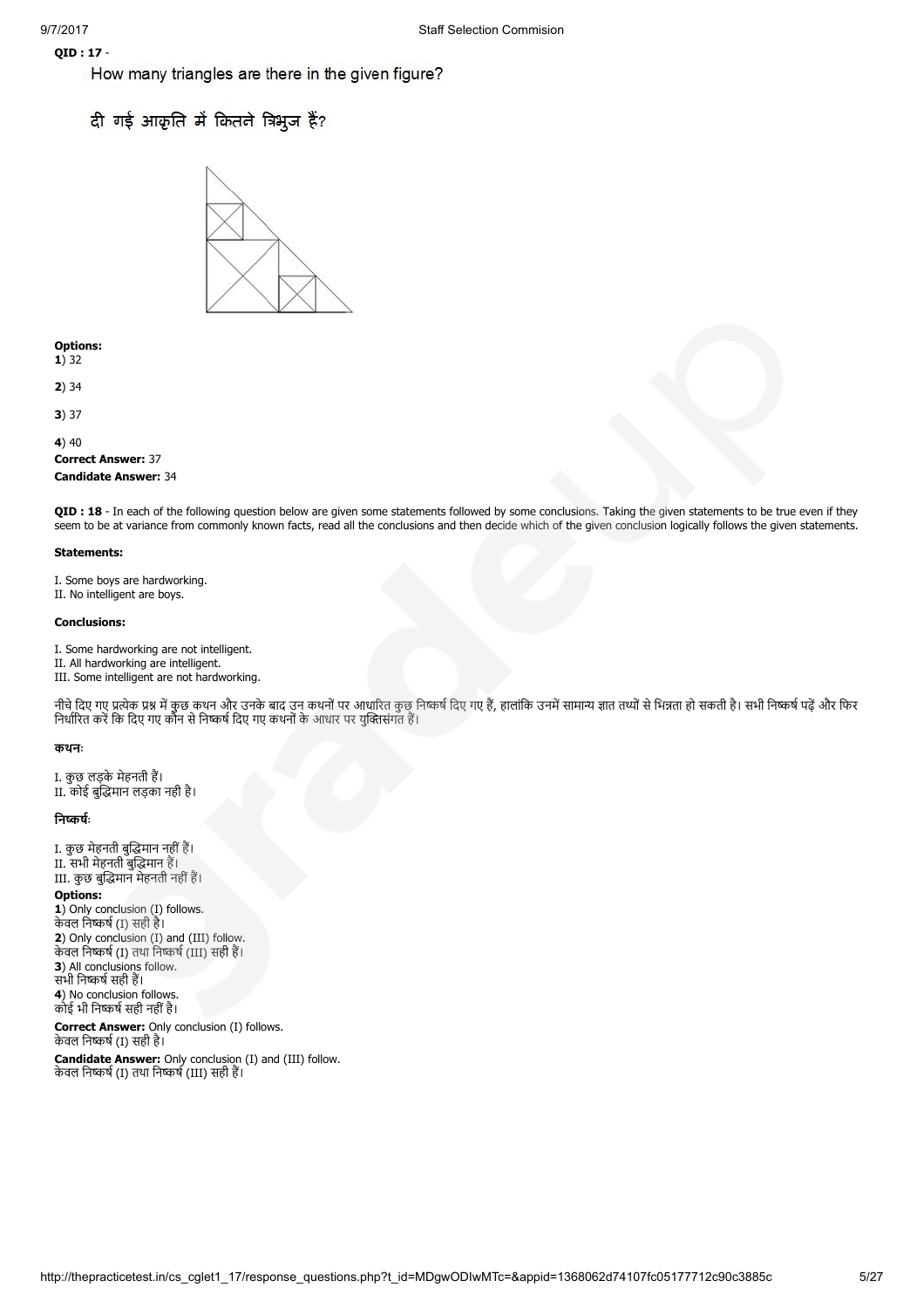# QID : 17 -

How many triangles are there in the given figure?

# दी गई आकृति में कितने त्रिभुज हैं?



Options: 1) 32

2) 34

3) 37

# $4)40$

Correct Answer: 37 Candidate Answer: 34

QID : 18 - In each of the following question below are given some statements followed by some conclusions. Taking the given statements to be true even if they seem to be at variance from commonly known facts, read all the conclusions and then decide which of the given conclusion logically follows the given statements.

### Statements:

I. Some boys are hardworking. II. No intelligent are boys.

### Conclusions:

I. Some hardworking are not intelligent.

- II. All hardworking are intelligent.
- III. Some intelligent are not hardworking.

नीचे दिए गए प्रत्येक प्रश्न में कुछ कथन और उनके बाद उन कथनों पर आधारित कुछ निष्कर्ष दिए गए हैं, हालांकि उनमें सामान्य ज्ञात तथ्यों से भिन्नता हो सकती है। सभी निष्कर्ष पढें और फिर निर्धारित करें कि दिए गए कौन से निष्कर्ष दिए गए कथनों के आधार पर युक्तिसंगत हैं।

### कथनः

I. कुछ लड़के मेहनती ह। II. कोई बुमान लड़का नही है।

### निष्कर्षः

I. कुछ मेहनती बुमान नहींह। II. सभी मेहनती बुमान ह। III. कुछ बुमान मेहनती नहींह।

# Options:

1) Only conclusion (I) follows. केवल निष्कर्ष (I) सही है। 2) Only conclusion (I) and (III) follow. केवल निष्कर्ष (I) तथा निष्कर्ष (III) सही हैं। 3) All conclusions follow. सभी निष्कर्ष सही हैं। 4) No conclusion follows. कोई भी िनषसही नहींहै।

Correct Answer: Only conclusion (I) follows. केवल निष्कर्ष (I) सही है।

Candidate Answer: Only conclusion (I) and (III) follow. केवल निष्कर्ष (I) तथा निष्कर्ष (III) सही हैं।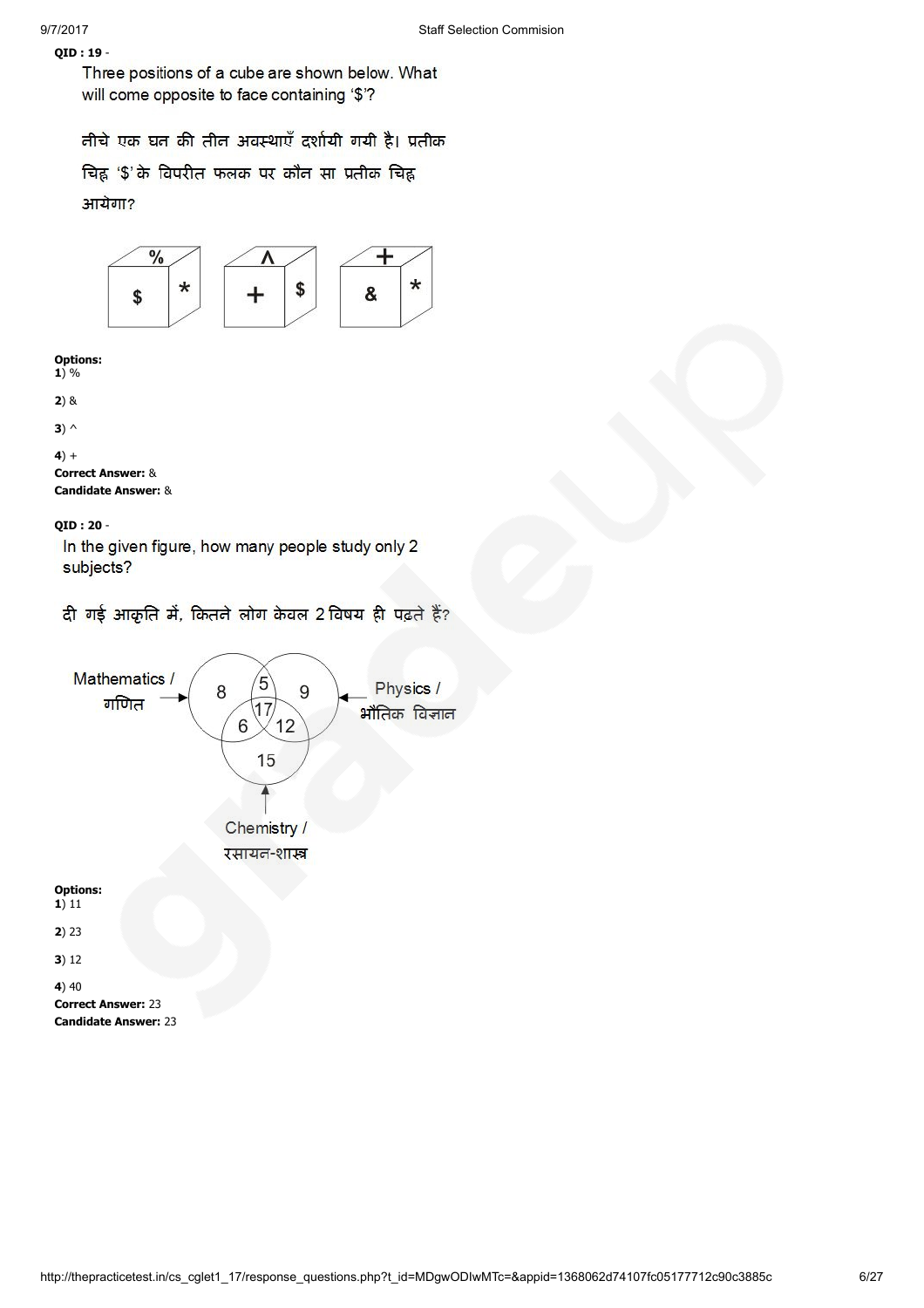QID : 19 - Three positions of a cube are shown below. What will come opposite to face containing '\$'?

तीचे एक घत की तीत अवस्थाएँ दर्शायी गयी है। प्रतीक

चिह्न '\$' के विपरीत फलक पर कौन सा प्रतीक चिह्न आयेगा?



Options:  $1) %$ 

```
2) &
```

```
3) \wedge
```

```
4) +
```
Correct Answer: & Candidate Answer: &

QID : 20 -

In the given figure, how many people study only 2 subjects?

दी गई आकृति में, कितने लोग केवल 2 विषय ही पढ़ते हैं?

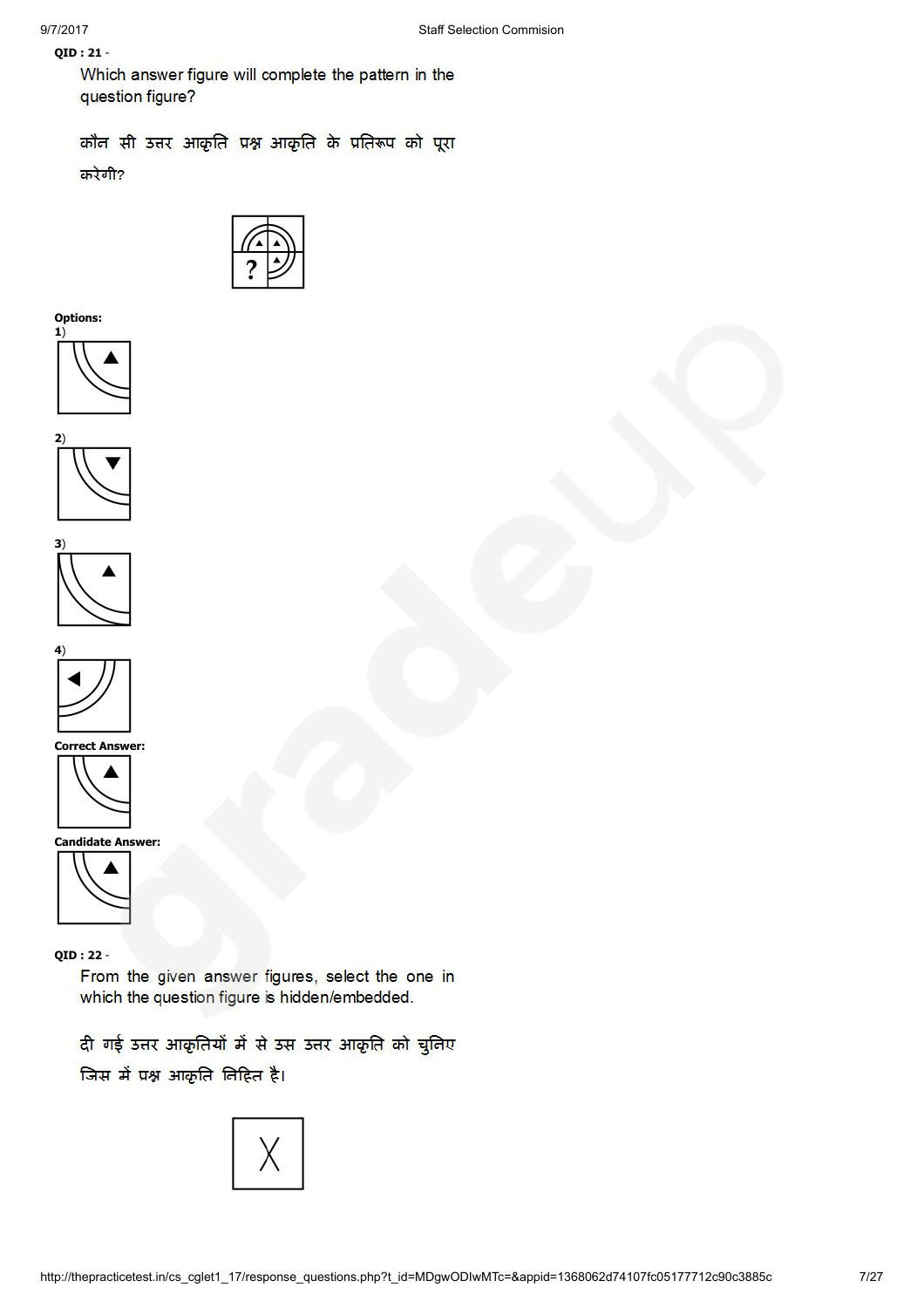# QID : 21 -

Which answer figure will complete the pattern in the question figure?

कौन सी उत्तर आकृति प्रश्न आकृति के प्रतिरूप को पूरा करेगी?



Options:









Correct Answer:



Candidate Answer:



QID : 22 -

From the given answer figures, select the one in which the question figure is hidden/embedded.

दी गई उत्तर आकृतियों में से उस उत्तर आकृति को चुनिए जिस में प्रश्न आकृति निहित है।

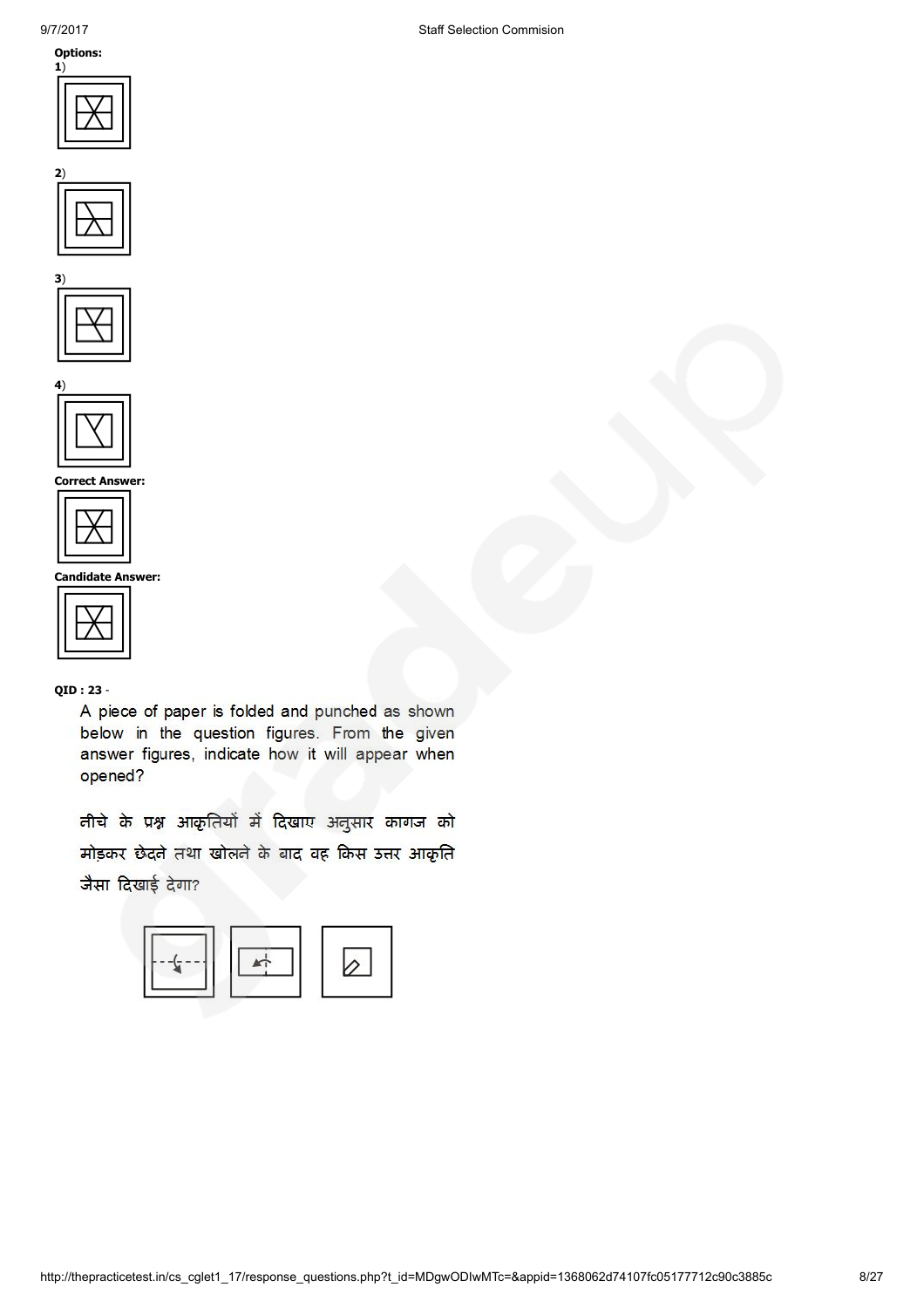









Correct Answer:



Candidate Answer:

|--|

QID : 23 -

A piece of paper is folded and punched as shown below in the question figures. From the given answer figures, indicate how it will appear when opened?

तीचे के प्रश्न आकृतियों में दिखाए अनुसार कागज को मोड़कर छेदने तथा खोलने के बाद वह किस उत्तर आकृति जैसा दिखाई देगा?

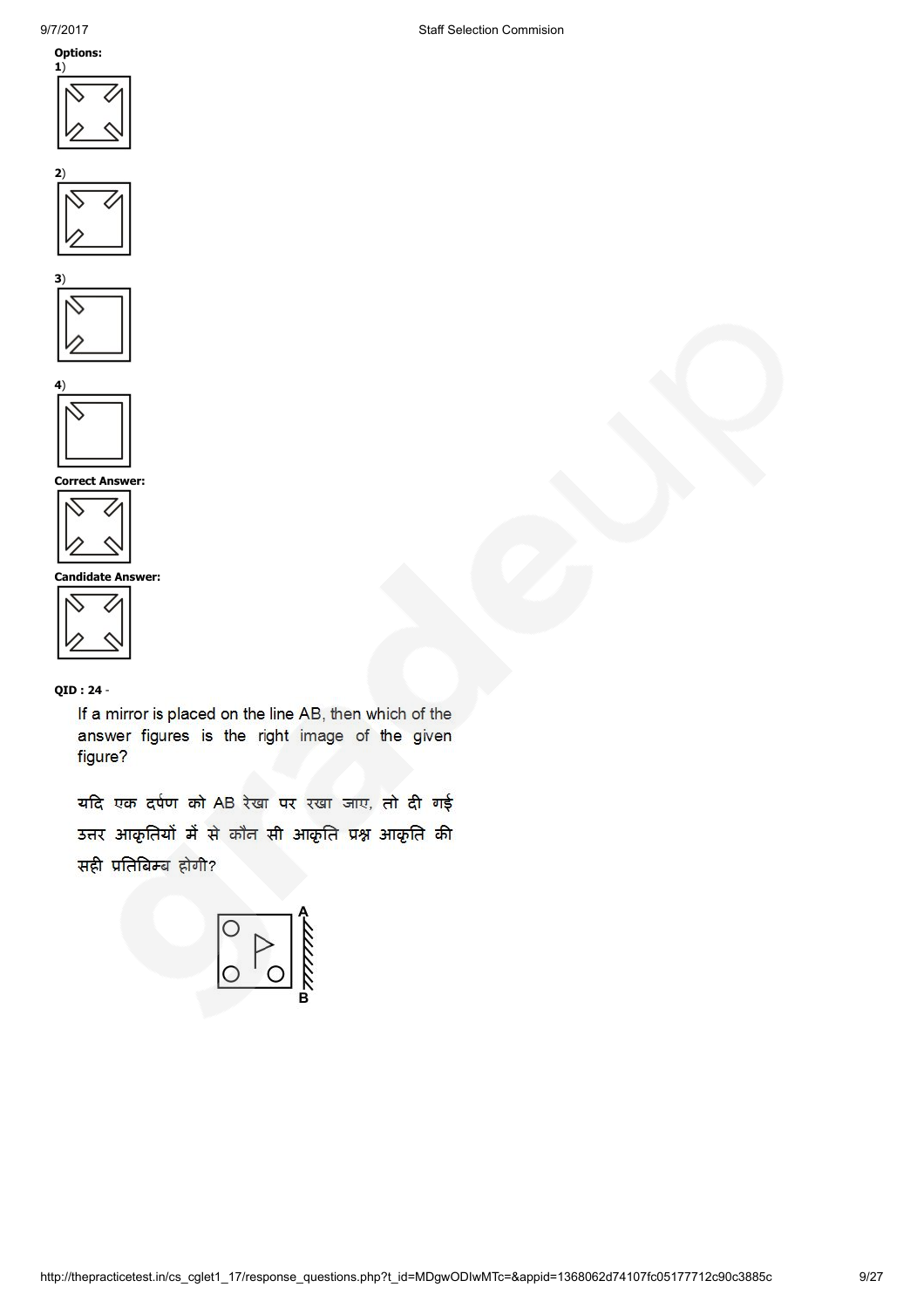









Correct Answer:



Candidate Answer:

QID : 24 -

If a mirror is placed on the line AB, then which of the answer figures is the right image of the given figure?

यदि एक दर्पण को AB रेखा पर रखा जाए, तो दी गई उत्तर आकृतियों में से कौन सी आकृति प्रश्न आकृति की सही प्रतिबिम्ब होगी?

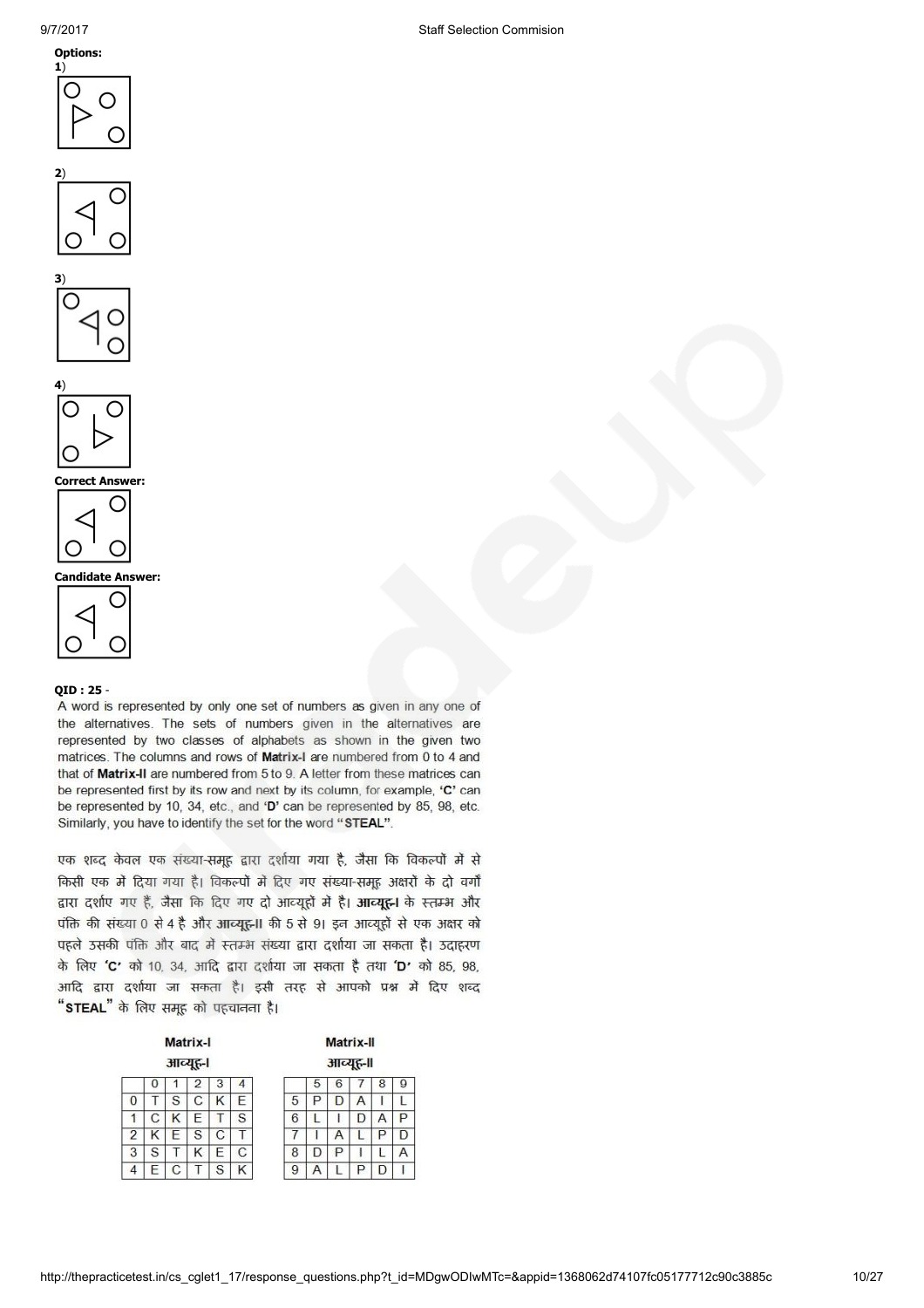







# Correct Answer:



Candidate Answer:



# QID : 25 -

A word is represented by only one set of numbers as given in any one of the alternatives. The sets of numbers given in the alternatives are represented by two classes of alphabets as shown in the given two matrices. The columns and rows of Matrix-I are numbered from 0 to 4 and that of Matrix-II are numbered from 5 to 9. A letter from these matrices can be represented first by its row and next by its column, for example, 'C' can be represented by 10, 34, etc., and 'D' can be represented by 85, 98, etc. Similarly, you have to identify the set for the word "STEAL".

एक शब्द केवल एक संख्या-समूह द्वारा दर्शाया गया है, जैसा कि विकल्पों में से किसी एक में दिया गया है। विकल्पों में दिए गए संख्या-समह अक्षरों के दो वर्गों द्वारा दर्शाए गए हैं, जैसा कि दिए गए दो आव्यूहों में है। आव्यूह़-1 के स्तम्भ और पंक्ति की संख्या 0 से 4 है और आव्यूह़-II की 5 से 91 इन आव्यूहों से एक अक्षर को पहले उसकी पंक्ति और बाद में स्तम्भ संख्या द्वारा दर्शाया जा सकता है। उदाहरण के लिए 'C' को 10, 34, आदि द्वारा दर्शाया जा सकता है तथा 'D' को 85, 98, आदि द्वारा दर्शाया जा सकता है। इसी तरह से आपको प्रश्न में दिए शब्द "STEAL" के लिए समूह को पहचानना है।

| Matrix-I |          |   |   |   |   | Matrix-II        |  |  |  |
|----------|----------|---|---|---|---|------------------|--|--|--|
|          | आव्यूह-। |   |   |   |   | आव्युह-॥         |  |  |  |
|          |          |   | 2 | 3 | 4 | 8<br>ч           |  |  |  |
| U        |          | S | С | Κ | F | 5<br>А<br>۰      |  |  |  |
|          | С        | κ | E |   | S | 6<br>P<br>D<br>Α |  |  |  |
| 2        | Κ        | E | S | C |   | Ρ<br>7<br>А<br>D |  |  |  |
| 3        | S        |   | κ | F | С | 8<br>P           |  |  |  |
|          | ⊢        | С |   | S | κ | 9<br>Р<br>D      |  |  |  |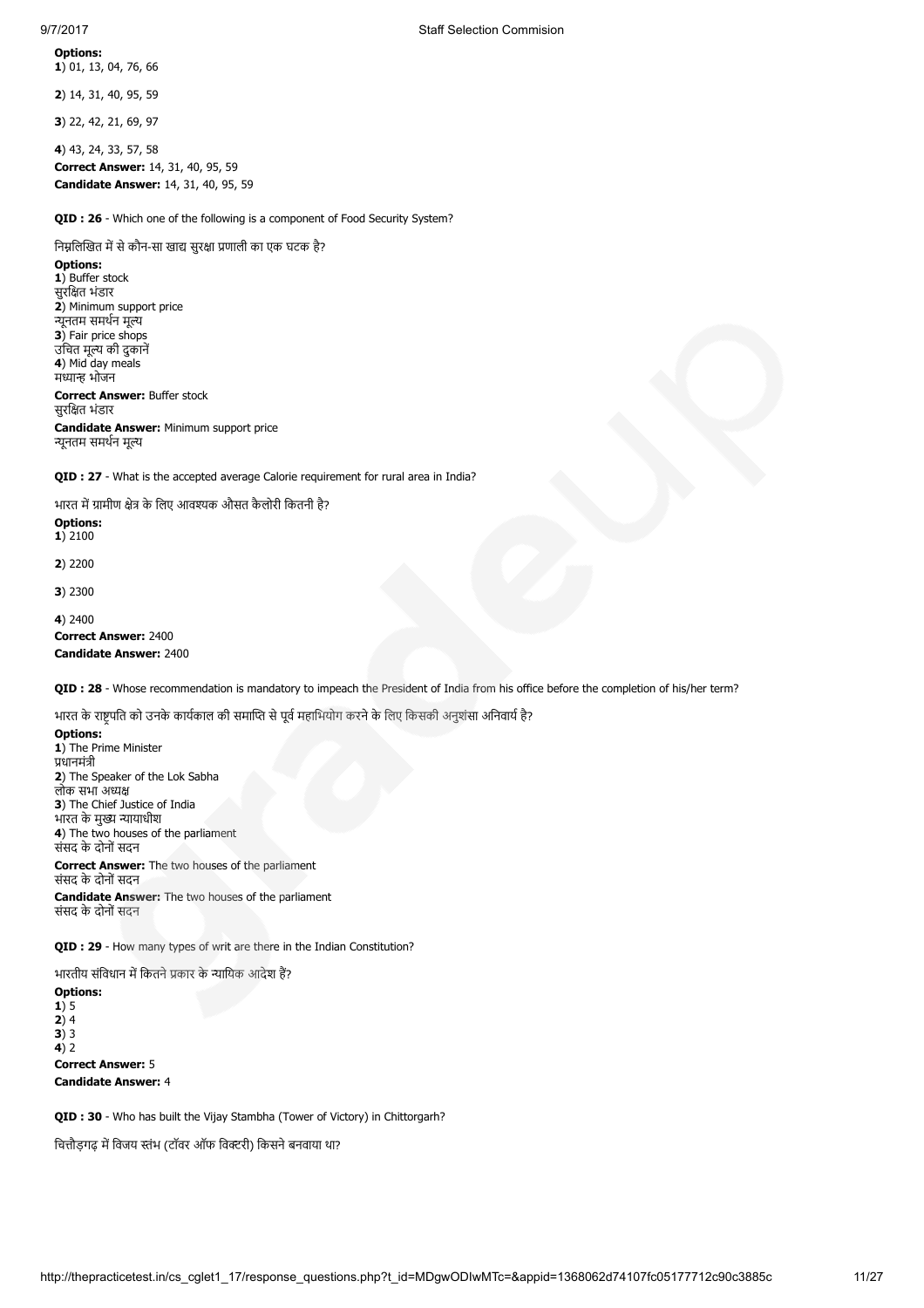### Options: 1) 01, 13, 04, 76, 66

2) 14, 31, 40, 95, 59

3) 22, 42, 21, 69, 97

4) 43, 24, 33, 57, 58 Correct Answer: 14, 31, 40, 95, 59 Candidate Answer: 14, 31, 40, 95, 59

**OID : 26** - Which one of the following is a component of Food Security System?

निम्नलिखित में से कौन-सा खाद्य सुरक्षा प्रणाली का एक घटक है?

Options: 1) Buffer stock सुरित भंडार 2) Minimum support price न्यूनतम समर्थन मूल्य 3) Fair price shops उचित मूल्य की दुकाने 4) Mid day meals मध्यान्ह भोजन Correct Answer: Buffer stock सुरित भंडार Candidate Answer: Minimum support price न्यनतम समर्थन मल्य

QID : 27 - What is the accepted average Calorie requirement for rural area in India?

भारत में ग्रामीण क्षेत्र के लिए आवश्यक औसत कैलोरी कितनी है?

Options: 1) 2100

2) 2200

3) 2300

4) 2400

Correct Answer: 2400 Candidate Answer: 2400

QID : 28 - Whose recommendation is mandatory to impeach the President of India from his office before the completion of his/her term?

भारत के राष्ट्रपति को उनके कार्यकाल की समाप्ति से पूर्व महाभियोग करने के लिए किसकी अनुशंसा अनिवार्य है?

Options: 1) The Prime Minister धानमंी 2) The Speaker of the Lok Sabha लोक सभा अ 3) The Chief Justice of India भारत के मुख्य न्यायाधीश 4) The two houses of the parliament संसद के दोनों सदन Correct Answer: The two houses of the parliament

संसद के दोनों सदन Candidate Answer: The two houses of the parliament संसद के दोनों सदन

QID : 29 - How many types of writ are there in the Indian Constitution?

भारतीय संविधान में कितने प्रकार के न्यायिक आदेश हैं?

Options: 1) 5  $2) 4$  $3)$  3  $4)2$ Correct Answer: 5 Candidate Answer: 4

**OID : 30** - Who has built the Vijay Stambha (Tower of Victory) in Chittorgarh?

चित्तौडगढ़ में विजय स्तंभ (टॉवर ऑफ विक्टरी) किसने बनवाया था?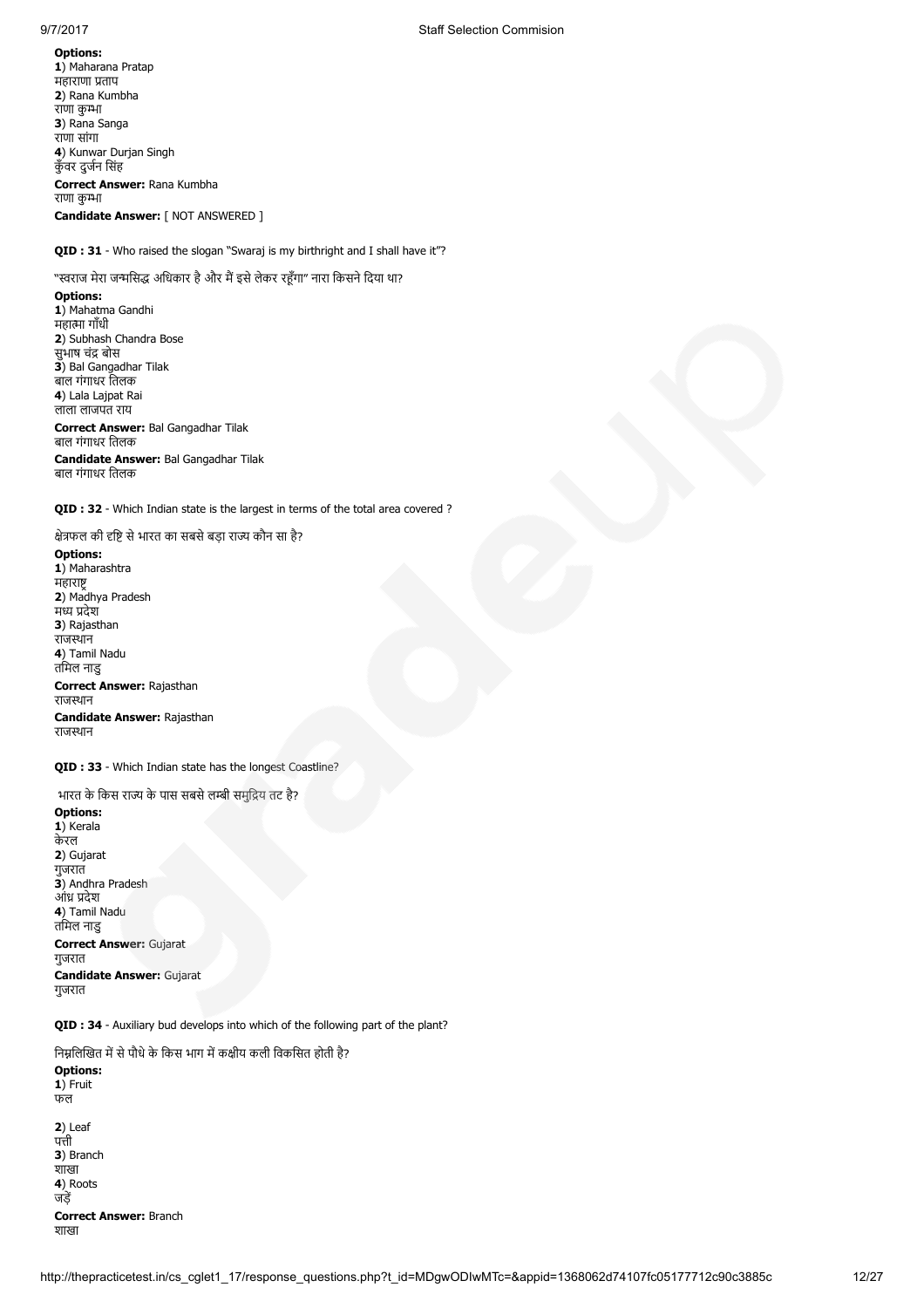### Options:

1) Maharana Pratap महाराणा ताप 2) Rana Kumbha राणा कुम्भा 3) Rana Sanga राणा सांगा 4) Kunwar Durjan Singh कुँवर दुजन िसंह Correct Answer: Rana Kumbha राणा कुम्भा Candidate Answer: [ NOT ANSWERED ]

# QID : 31 - Who raised the slogan "Swaraj is my birthright and I shall have it"?

# "स्वराज मेरा जन्मसिद्ध अधिकार है और मैं इसे लेकर रहूँगा" नारा किसने दिया था?

Options:

1) Mahatma Gandhi महात्मा गाँधी 2) Subhash Chandra Bose सुभाष चंद्र बोस 3) Bal Gangadhar Tilak बाल गंगाधर ितलक 4) Lala Lajpat Rai लाला लाजपत राय Correct Answer: Bal Gangadhar Tilak

## बाल गंगाधर ितलक

Candidate Answer: Bal Gangadhar Tilak बाल गंगाधर ितलक

QID : 32 - Which Indian state is the largest in terms of the total area covered ?

क्षेत्रफल की दृष्टि से भारत का सबसे बड़ा राज्य कौन सा है?

### Options:

1) Maharashtra महारा 2) Madhya Pradesh मध्य प्रदेश 3) Rajasthan राजथान 4) Tamil Nadu तिमल नाडु Correct Answer: Rajasthan राजथान Candidate Answer: Rajasthan राजथान

QID : 33 - Which Indian state has the longest Coastline?

भारत के किस राज्य के पास सबसे लम्बी समुद्रिय तट है? Options: 1) Kerala केरल 2) Gujarat गुजरात 3) Andhra Pradesh आंध्र प्रदेश 4) Tamil Nadu तिमल नाडु Correct Answer: Gujarat गुजरात Candidate Answer: Gujarat गुजरात

QID : 34 - Auxiliary bud develops into which of the following part of the plant?

निम्नलिखित में से पौधे के किस भाग में कक्षीय कली विकसित होती है?

| <b>Options:</b><br>1) Fruit<br>फल |
|-----------------------------------|
| $2)$ Leaf                         |
| पत्ती                             |
| 3) Branch                         |
| शाखा                              |
| 4) Roots                          |
| जडें                              |
| <b>Correct Answer: Branch</b>     |
| शाखा                              |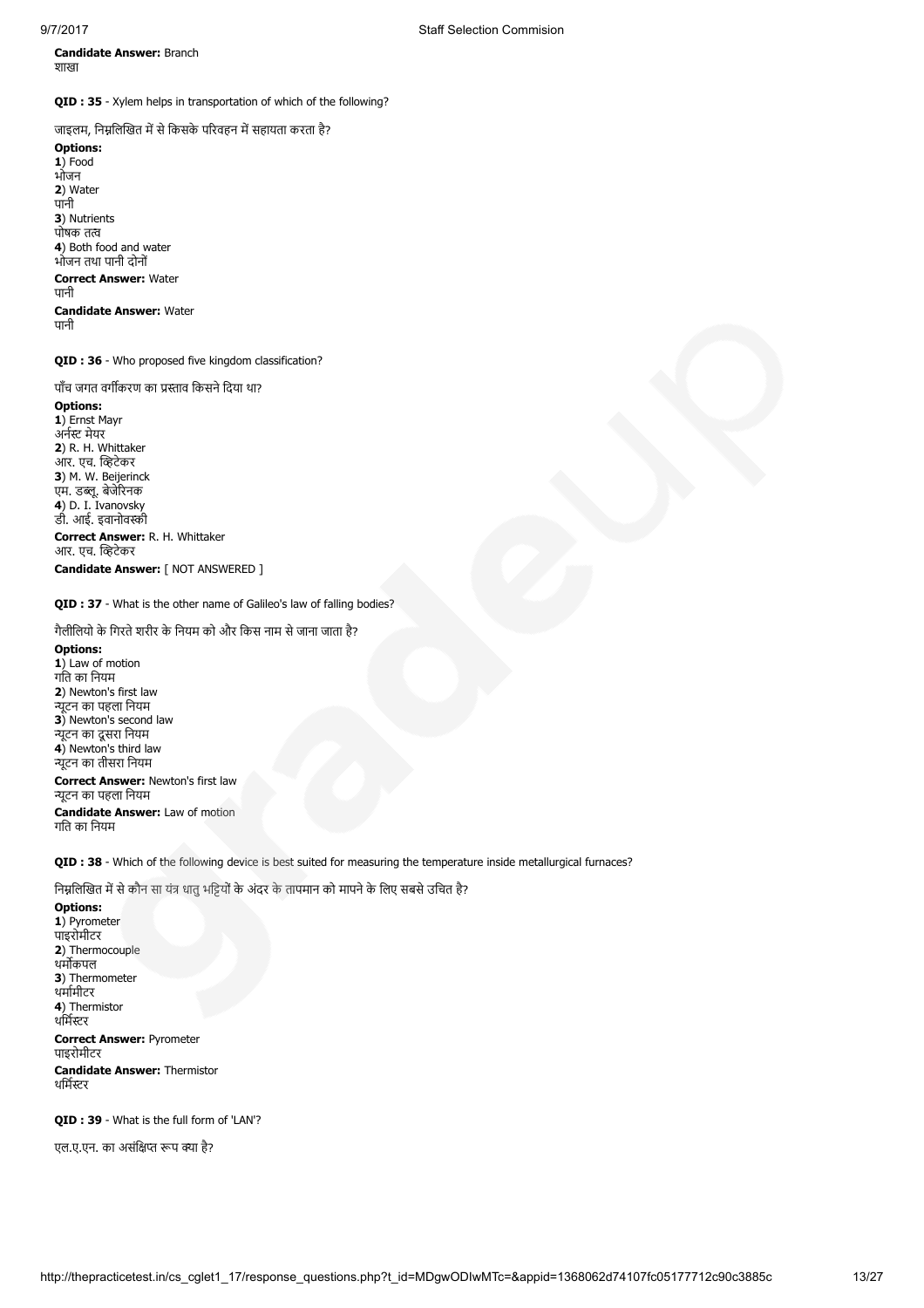Candidate Answer: Branch शाखा

QID : 35 - Xylem helps in transportation of which of the following?

जाइलम, निम्नलिखित में से किसके परिवहन में सहायता करता है?

Options: 1) Food भोजन 2) Water पानी 3) Nutrients पोषक तत्व 4) Both food and water भोजन तथा पानी दोनों Correct Answer: Water पानी Candidate Answer: Water पानी

QID : 36 - Who proposed five kingdom classification?

पाँच जगत वर्गीकरण का प्रस्ताव किसने दिया था?

Options: 1) Ernst Mayr अर्नस्ट मेयर 2) R. H. Whittaker आर. एच. व्हिटेकर 3) M. W. Beijerinck एम. डब्लू. बेजेरिनक 4) D. I. Ivanovsky डी. आई. इवानोवर्स्की Correct Answer: R. H. Whittaker आर. एच. व्हिटेकर Candidate Answer: [ NOT ANSWERED ]

# QID : 37 - What is the other name of Galileo's law of falling bodies?

गैलीिलयो के िगरतेशरीर के िनयम को और िकस नाम सेजाना जाता है?

Options: 1) Law of motion गित का िनयम 2) Newton's first law ूटन का पहला िनयम 3) Newton's second law न्यूटन का दूसरा नियम 4) Newton's third law ूटन का तीसरा िनयम Correct Answer: Newton's first law ूटन का पहला िनयम Candidate Answer: Law of motion

गित का िनयम

QID : 38 - Which of the following device is best suited for measuring the temperature inside metallurgical furnaces?

निम्नलिखित में से कौन सा यंत्र धातु भड़ियों के अंदर के तापमान को मापने के लिए सबसे उचित है?

Options: 1) Pyrometer पाइरोमीटर 2) Thermocouple थर्मोकपल 3) Thermometer थमामीटर 4) Thermistor थर्मिस्टर Correct Answer: Pyrometer पाइरोमीटर Candidate Answer: Thermistor थर्मिस्टर

QID : 39 - What is the full form of 'LAN'?

एल.ए.एन. का असंक्षिप्त रूप क्या है?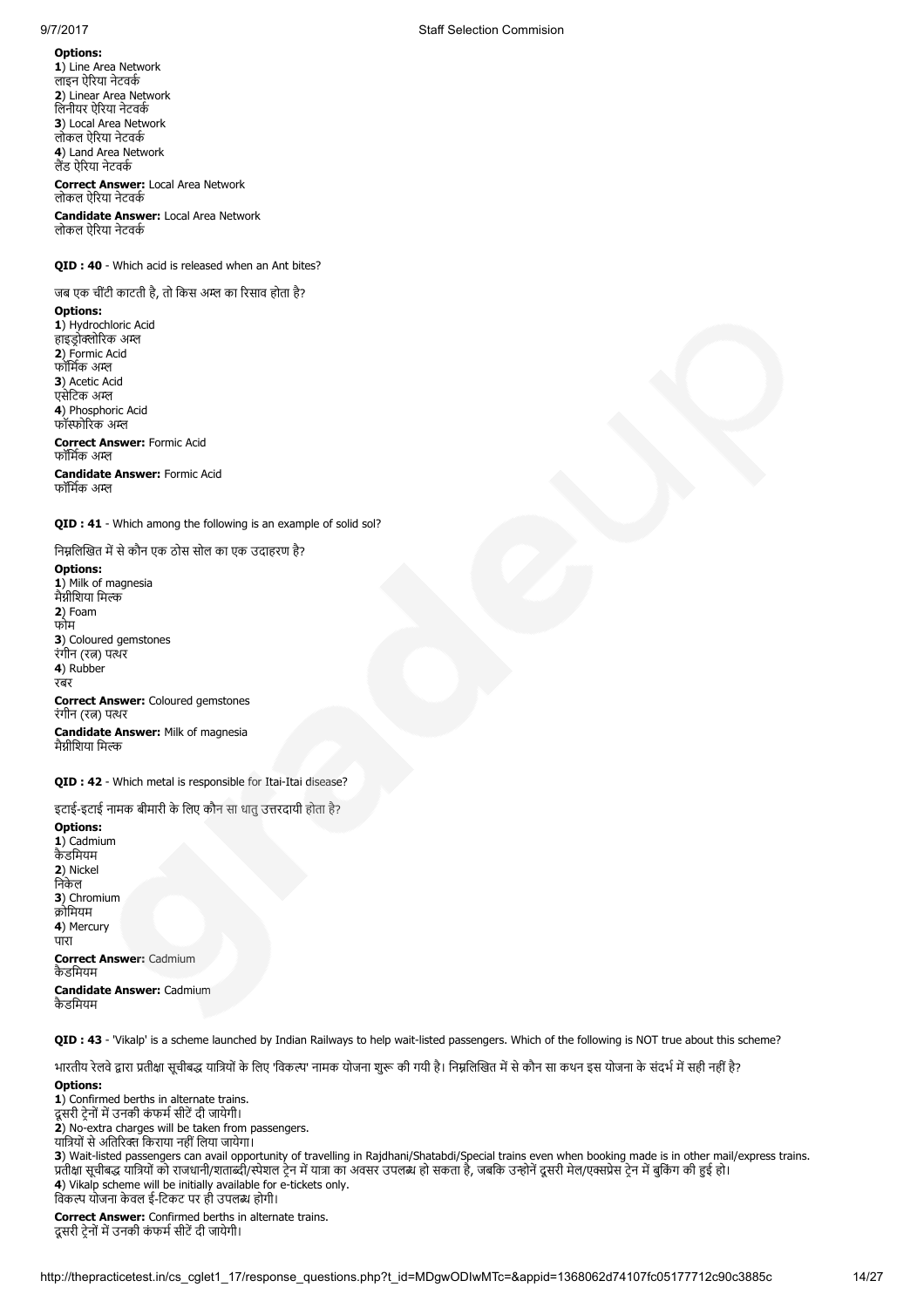Options: 1) Line Area Network लाइन ऐरया नेटवक 2) Linear Area Network िलनीयर ऐरया नेटवक 3) Local Area Network लोकल ऐरया नेटवक 4) Land Area Network लैंड ऐरिया नेटवर्क Correct Answer: Local Area Network लोकल ऐरया नेटवक

Candidate Answer: Local Area Network लोकल ऐरया नेटवक

# QID : 40 - Which acid is released when an Ant bites?

जब एक चींटी काटती है, तो किस अम्ल का रिसाव होता है?

Options:

1) Hydrochloric Acid हाइड्रोक्लोरिक अम्ल 2) Formic Acid फॉिमक अ 3) Acetic Acid एसेटिक अम्ल 4) Phosphoric Acid फॉस्फोरिक अम्ल Correct Answer: Formic Acid फॉर्मिक अम्ल Candidate Answer: Formic Acid फॉिमक अ

QID : 41 - Which among the following is an example of solid sol?

निम्नलिखित में से कौन एक ठोस सोल का एक उदाहरण है? Options: 1) Milk of magnesia मैग्नीशिया मिल्क 2) Foam फोम 3) Coloured gemstones रंगीन (रत्न) पत्थर 4) Rubber रबर Correct Answer: Coloured gemstones रंगीन (रत्न) पत्थर Candidate Answer: Milk of magnesia मैग्नीशिया मिल्क

QID : 42 - Which metal is responsible for Itai-Itai disease?

इटाई-इटाई नामक बीमारी के लिए कौन सा धातु उत्तरदायी होता है? Options:

1) Cadmium कैडिमयम 2) Nickel निकेल 3) Chromium ्र<br>कोमियम 4) Mercury पारा Correct Answer: Cadmium कैडिमयम Candidate Answer: Cadmium कैडिमयम

QID : 43 - 'Vikalp' is a scheme launched by Indian Railways to help wait-listed passengers. Which of the following is NOT true about this scheme?

भारतीय रेलवे द्वारा प्रतीक्षा सूचीबद्ध यात्रियों के लिए 'विकल्प' नामक योजना शुरू की गयी है। निम्नलिखित में से कौन सा कथन इस योजना के संदर्भ में सही नहीं है?

Options: 1) Confirmed berths in alternate trains. दूसरी ट्रेनों में उनकी कंफर्म सीटें दी जायेगी। 2) No-extra charges will be taken from passengers. यात्रियों से अतिरिक्त किराया नहीं लिया जायेगा। 3) Wait-listed passengers can avail opportunity of travelling in Rajdhani/Shatabdi/Special trains even when booking made is in other mail/express trains. प्रतीक्षा सूचीबद्ध यात्रियों को राजधानी/शताब्दी/स्पेशल टेन में यात्रा का अवसर उपलब्ध हो सकता है, जबकि उन्होनें दूसरी मेल/एक्सप्रेस टेन में बुकिंग की हुई हो। 4) Vikalp scheme will be initially available for e-tickets only. िवक योजना केवल ई-िटकट पर ही उपल होगी। Correct Answer: Confirmed berths in alternate trains.

दूसरी ट्रेनों में उनकी कंफर्म सीटें दी जायेगी।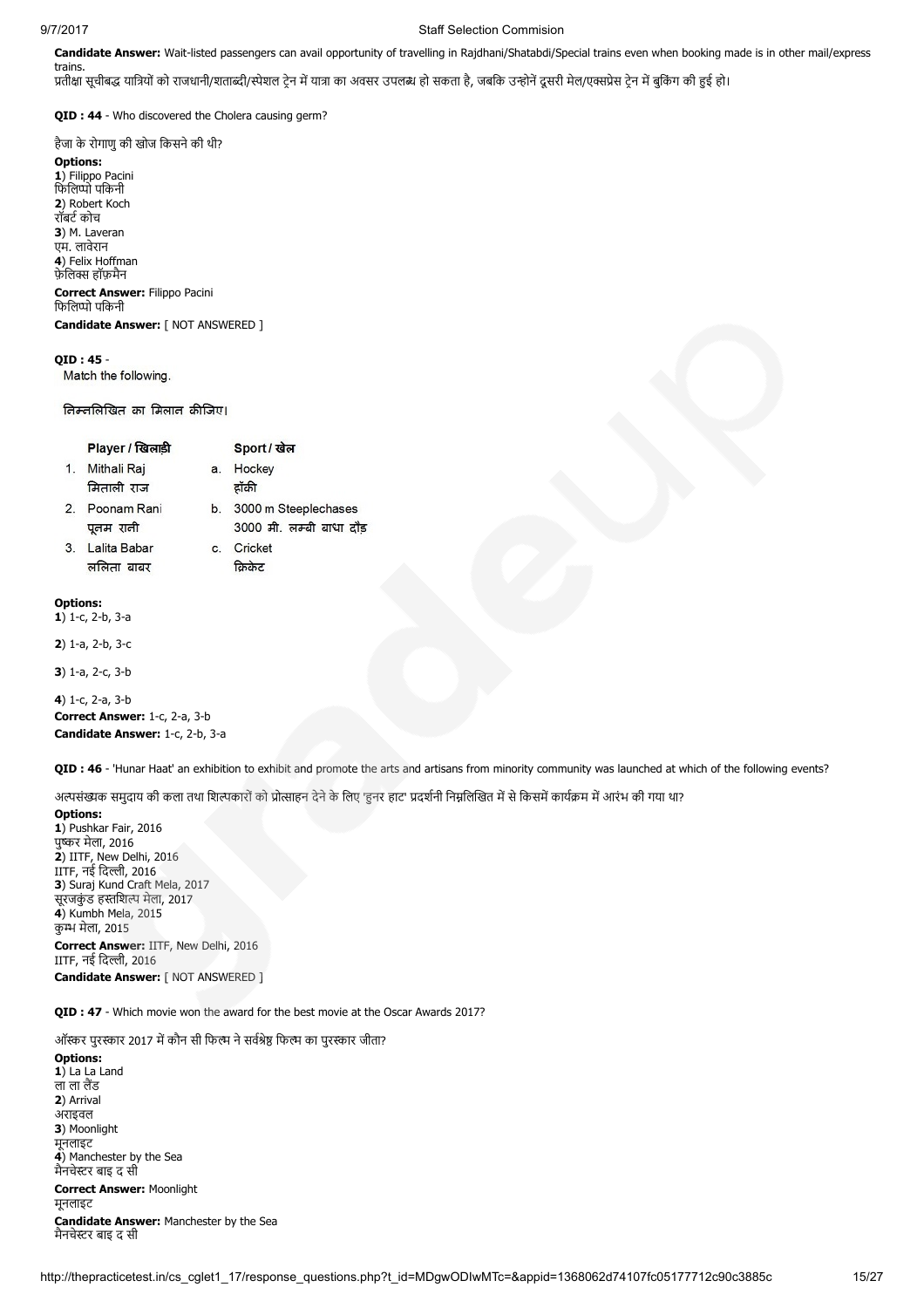trains.

### 9/7/2017 Staff Selection Commision

Candidate Answer: Wait-listed passengers can avail opportunity of travelling in Rajdhani/Shatabdi/Special trains even when booking made is in other mail/express

प्रतीक्षा सूचीबद्ध यात्रियों को राजधानी/शताब्दी/स्पेशल टेन में यात्रा का अवसर उपलब्ध हो सकता है, जबकि उन्होनें दूसरी मेल/एक्सप्रेस टेन में बुकिंग की हुई हो।

QID : 44 - Who discovered the Cholera causing germ?

हैजा के रोगाणु की खोज किसने की थी?

Options: 1) Filippo Pacini िफिलो पिकनी 2) Robert Koch रॉबर्ट कोच 3) M. Laveran एम. लावेरान 4) Felix Hoffman फ़ेलिक्स हॉफ़मैन Correct Answer: Filippo Pacini फिलिप्पो पकिनी

Candidate Answer: [ NOT ANSWERED ]

# QID : 45 -

Match the following.

निम्नलिखित का मिलान कीजिए।

|    | Player / खिलाडी           |    | Sport / खेल                                      |
|----|---------------------------|----|--------------------------------------------------|
| 1. | Mithali Raj<br>मिताली राज | a. | Hockey<br>द्रॉकी                                 |
| 2. | Poonam Rani<br>पूतम राती  | b. | 3000 m Steeplechases<br>3000 मी. लम्बी बाधा दौड़ |
| 3. | Lalita Babar              | C. | Cricket                                          |

Options:  $1)$  1-c, 2-b, 3-a

2) 1-a, 2-b, 3-c

3) 1-a, 2-c, 3-b

4) 1-c, 2-a, 3-b Correct Answer: 1-c, 2-a, 3-b Candidate Answer: 1-c, 2-b, 3-a

QID : 46 - 'Hunar Haat' an exhibition to exhibit and promote the arts and artisans from minority community was launched at which of the following events?

अल्पसंख्यक समुदाय की कला तथा शिल्पकारों को प्रोत्साहन देने के लिए 'हुनर हाट' प्रदर्शनी निम्नलिखित में से किसमें कार्यक्रम में आरंभ की गया था?

Options:

1) Pushkar Fair, 2016 पू<del>र्</del>कर मेला, 2016 2) IITF, New Delhi, 2016 IITF, नई दिल्ली, 2016 3) Suraj Kund Craft Mela, 2017 सूरजकुंड हस्तशिल्प मेला, 2017 4) Kumbh Mela, 2015 कु मेला, 2015 Correct Answer: IITF, New Delhi, 2016 IITF, नई दिल्ली, 2016

Candidate Answer: [ NOT ANSWERED ]

QID : 47 - Which movie won the award for the best movie at the Oscar Awards 2017?

ऑस्कर पुरस्कार 2017 में कौन सी फिल्म ने सर्वश्रेष्ठ फिल्म का पुरस्कार जीता?

Options: 1) La La Land ला लेंड 2) Arrival अराइवल 3) Moonlight मूनलाइट 4) Manchester by the Sea मैनचेस्टर बाइ द सी Correct Answer: Moonlight मूनलाइट Candidate Answer: Manchester by the Sea मैनचेस्टर बाइ द सी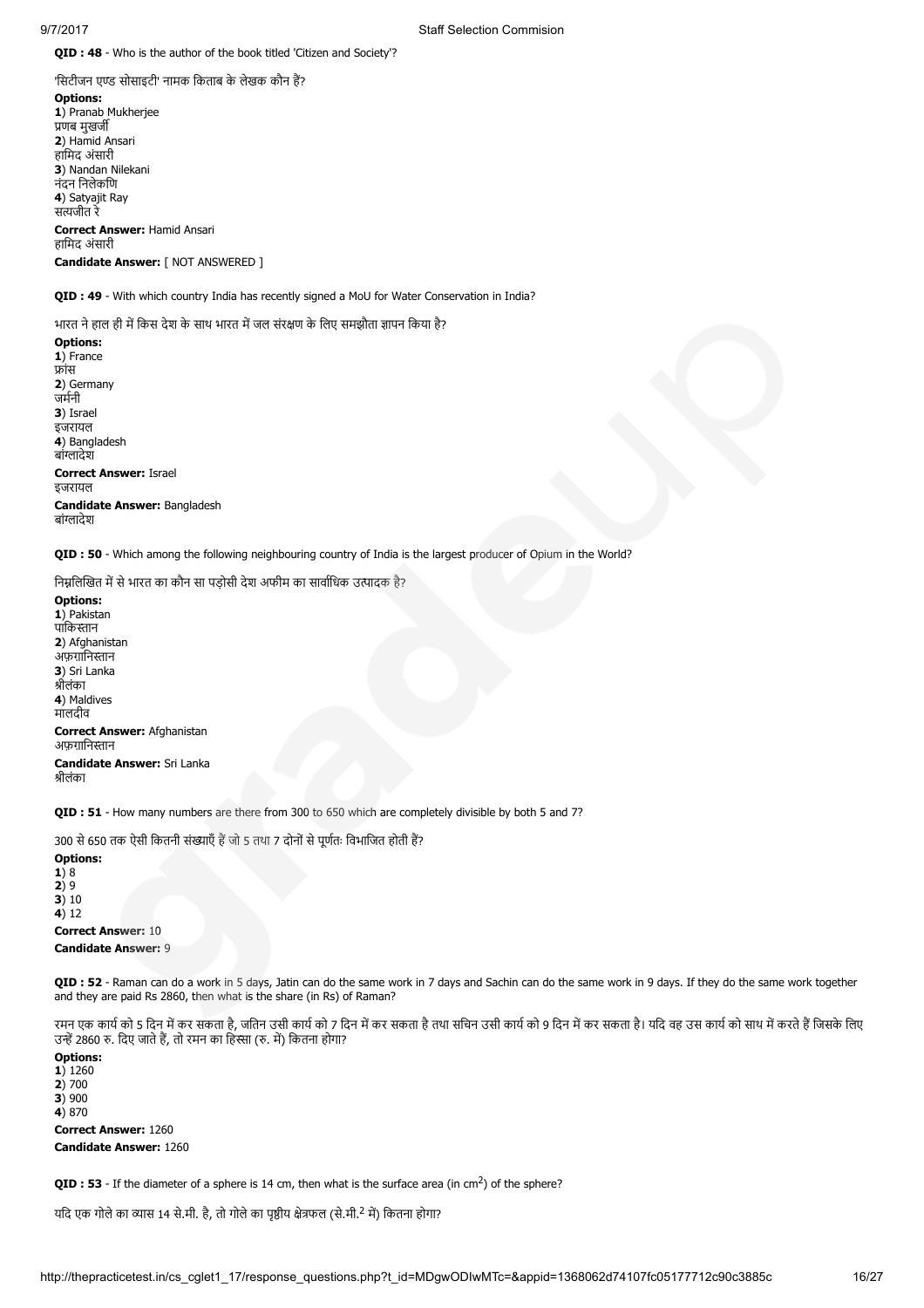QID : 48 - Who is the author of the book titled 'Citizen and Society'?

'सिटीजन एण्ड सोसाइटी' नामक किताब के लेखक कौन हैं? Options: 1) Pranab Mukherjee णब मुखज 2) Hamid Ansari हािमद अंसारी 3) Nandan Nilekani नंदन िनलेकिण 4) Satyajit Ray सजीत रे Correct Answer: Hamid Ansari

हािमद अंसारी Candidate Answer: [ NOT ANSWERED ]

QID : 49 - With which country India has recently signed a MoU for Water Conservation in India?

भारत ने हाल ही में किस देश के साथ भारत में जल संरक्षण के लिए समझौता ज्ञापन किया है?

Options: 1) France ांस 2) Germany जमनी 3) Israel इजरायल 4) Bangladesh बांग्लादेश Correct Answer: Israel इजरायल Candidate Answer: Bangladesh बांग्लादेश

QID : 50 - Which among the following neighbouring country of India is the largest producer of Opium in the World?

निम्नलिखित में से भारत का कौन सा पड़ोसी देश अफीम का सार्वाधिक उत्पादक है?

Options: 1) Pakistan पाकिस्तान 2) Afghanistan अफ़ग़ानिस्तान 3) Sri Lanka ीलंका 4) Maldives मालदीव Correct Answer: Afghanistan अफग़ानिस्तान Candidate Answer: Sri Lanka ीलंका

**OID : 51** - How many numbers are there from 300 to 650 which are completely divisible by both 5 and 7?

300 से 650 तक ऐसी कितनी संख्याएँ हैं जो 5 तथा 7 दोनों से पूर्णतः विभाजित होती हैं?

Options: 1) 8 2) 9  $3)10$  $4)12$ Correct Answer: 10 Candidate Answer: 9

QID : 52 - Raman can do a work in 5 days, Jatin can do the same work in 7 days and Sachin can do the same work in 9 days. If they do the same work together and they are paid Rs 2860, then what is the share (in Rs) of Raman?

रमन एक कार्य को 5 दिन में कर सकता है, जतिन उसी कार्य को 7 दिन में कर सकता भार को 9 किन में कर सकता है। यदि वह उस कार्य को साथ में करते हैं जिसके लिए उन्हें 2860 रु. दिए जाते हैं, तो रमन का हिस्सा (रु. में) कितना होगा?

Options: 1) 1260 2) 700  $3)900$ 4) 870 Correct Answer: 1260 Candidate Answer: 1260

**QID : 53** - If the diameter of a sphere is 14 cm, then what is the surface area (in cm<sup>2</sup>) of the sphere?

यदि एक गोले का व्यास 14 से.मी. है, तो गोले का पृष्ठीय क्षेत्रफल (से.मी.<sup>2</sup> में) कितना होगा?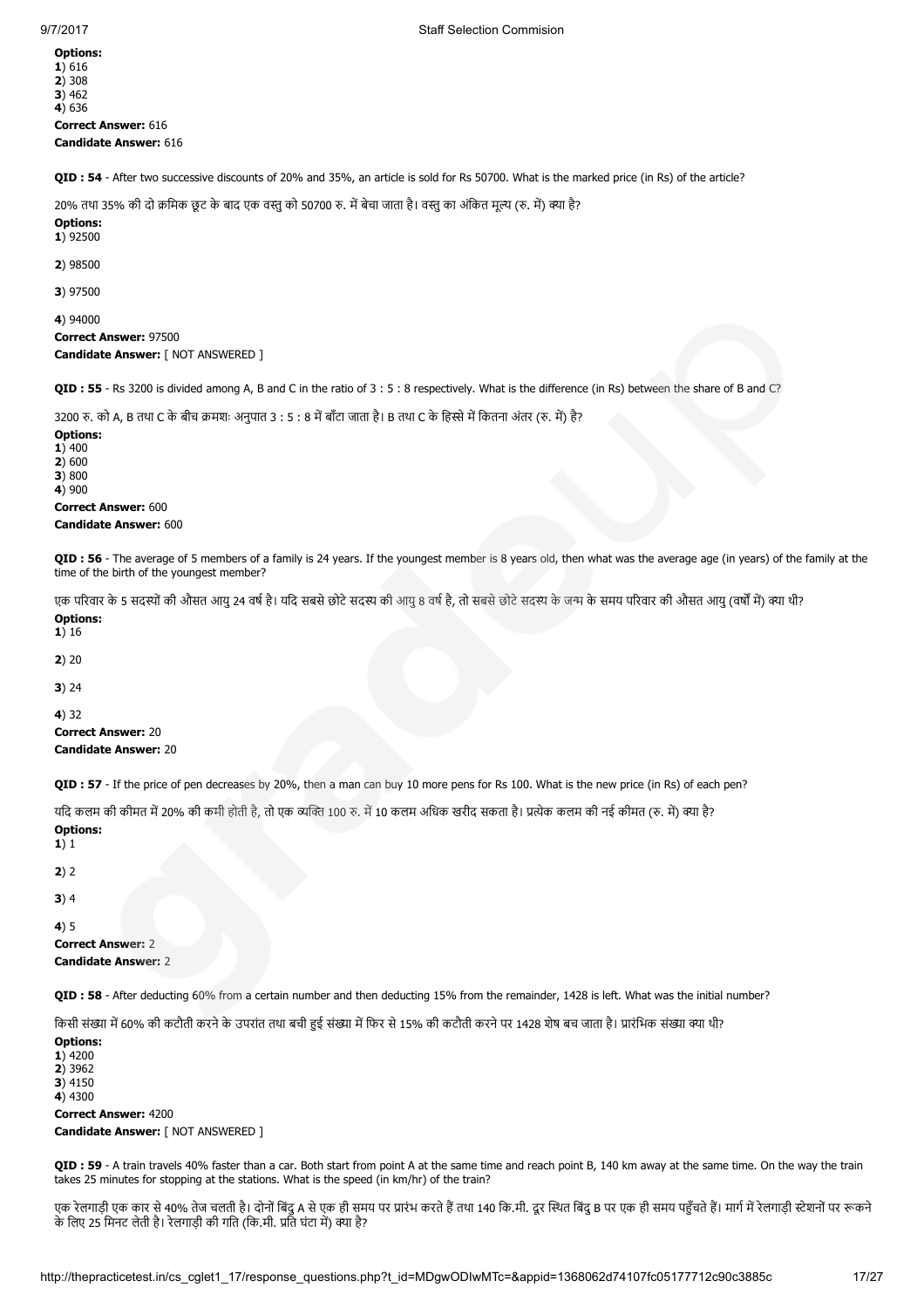Options: 1) 616 2) 308 3) 462 4) 636 Correct Answer: 616 Candidate Answer: 616

QID : 54 - After two successive discounts of 20% and 35%, an article is sold for Rs 50700. What is the marked price (in Rs) of the article?

20% तथा 35% की दो क्रमिक छूट के बाद एक वस्तु को 50700 रु. में बेचा जाता है। वस्तु का अंकित मूल्य (रु. में) क्या है?

Options: 1) 92500

2) 98500

3) 97500

4) 94000 Correct Answer: 97500 Candidate Answer: [ NOT ANSWERED ]

QID : 55 - Rs 3200 is divided among A, B and C in the ratio of 3 : 5 : 8 respectively. What is the difference (in Rs) between the share of B and C?

3200 रु. को A, B तथा C के बीच क्रमशः अनुपात 3 : 5 : 8 में बाँटा जाता है। B तथा C के हिस्से में कितना अंतर (रु. में) है?

Options: 1) 400  $2)600$  $3)800$  $4)900$ Correct Answer: 600 Candidate Answer: 600

QID : 56 - The average of 5 members of a family is 24 years. If the youngest member is 8 years old, then what was the average age (in years) of the family at the time of the birth of the youngest member?

एक परिवार के 5 सदस्यों की औसत आयु 24 वर्ष है। यदि सबसे छोटे सदस्य के बाज के जिटे सदस्य के जन्म के समय परिवार की औसत आयु (वर्षों में) क्या थी? Options:

1) 16

2) 20

3) 24

4) 32 Correct Answer: 20 Candidate Answer: 20

QID : 57 - If the price of pen decreases by 20%, then a man can buy 10 more pens for Rs 100. What is the new price (in Rs) of each pen?

यदि कलम की कीमत में 20% की कमी होती है. तो एक व्यक्ति 100 रु. में 10 कलम अधिक खरीद सकता है। प्रत्येक कलम की नई कीमत (रु. में) क्या है? Options:

1) 1

 $2) 2$ 

3) 4

4) 5

Correct Answer: 2 Candidate Answer: 2

QID : 58 - After deducting 60% from a certain number and then deducting 15% from the remainder, 1428 is left. What was the initial number?

किसी संख्या में 60% की कटौती करने के उपरांत तथा बची हुई संख्या में फिर से 15% की कटौती करने पर 1428 शेष बच जाता है। प्रारंभिक संख्या क्या थी?

Options: 1) 4200 2) 3962 3) 4150 4) 4300 Correct Answer: 4200 Candidate Answer: [ NOT ANSWERED ]

QID : 59 - A train travels 40% faster than a car. Both start from point A at the same time and reach point B, 140 km away at the same time. On the way the train takes 25 minutes for stopping at the stations. What is the speed (in km/hr) of the train?

एक रेलगाड़ी एक कार से 40% तेज चलती है। दोनों बिंदु A से एक ही समय पर प्रारंभ करते हैं तथा 140 कि.मी. दूर स्थित बिंदु B पर एक ही समय पहुँचते हैं। मार्ग में रेलगाड़ी स्टेशनों पर रूकने के लिए 25 मिनट लेती है। रेलगाड़ी की गति (कि.मी. प्रति घंटा में) क्या है?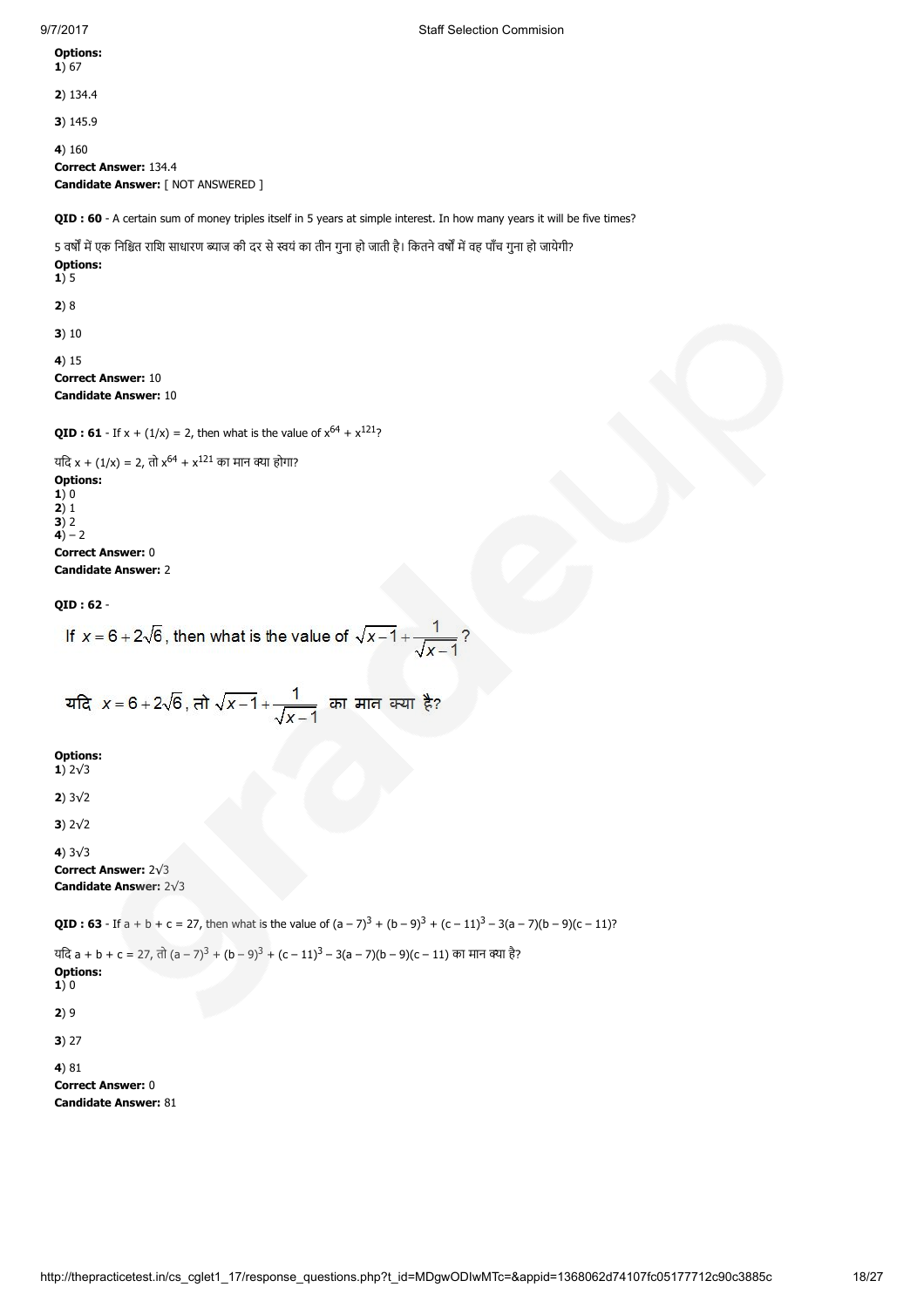Options: 1) 67 2) 134.4 3) 145.9 4) 160 Correct Answer: 134.4 Candidate Answer: [ NOT ANSWERED ] QID : 60 - A certain sum of money triples itself in 5 years at simple interest. In how many years it will be five times? 5 वर्षों में एक निश्चित राशि साधारण ब्याज की दर से स्वयं का तीन गुना हो जाती है। कितने वर्षों में वह पाँच गुना हो जायेगी? Options:  $1)5$ 2) 8 3) 10 4) 15 Correct Answer: 10 Candidate Answer: 10 **QID : 61** - If  $x + (1/x) = 2$ , then what is the value of  $x^{64} + x^{121}$ ? यदि x + (1/x) = 2, तो x<sup>64</sup> + x<sup>121</sup> का मान क्या होगा? Options: 1) 0  $2)1$ 3) 2  $4) - 2$ Correct Answer: 0 Candidate Answer: 2 QID : 62 - If  $x = 6 + 2\sqrt{6}$ , then what is the value of  $\sqrt{x-1} + \frac{1}{\sqrt{x-1}}$ ? यदि  $x = 6 + 2\sqrt{6}$ , तो  $\sqrt{x-1} + \frac{1}{\sqrt{x-1}}$  का मान क्या है? Options: 1) 2√3 2) 3√2 3) 2√2 4) 3√3 Correct Answer: 2√3 Candidate Answer: 2√3 **QID : 63** - If a + b + c = 27, then what is the value of  $(a - 7)^3 + (b - 9)^3 + (c - 11)^3 - 3(a - 7)(b - 9)(c - 11)$ ? यदि a + b + c = 27, तो (a – 7)<sup>3</sup> + (b – 9)<sup>3</sup> + (c – 11)<sup>3</sup> – 3(a – 7)(b – 9)(c – 11) का मान क्या है? Options:  $1)0$ 

2) 9

3) 27

4) 81

Correct Answer: 0 Candidate Answer: 81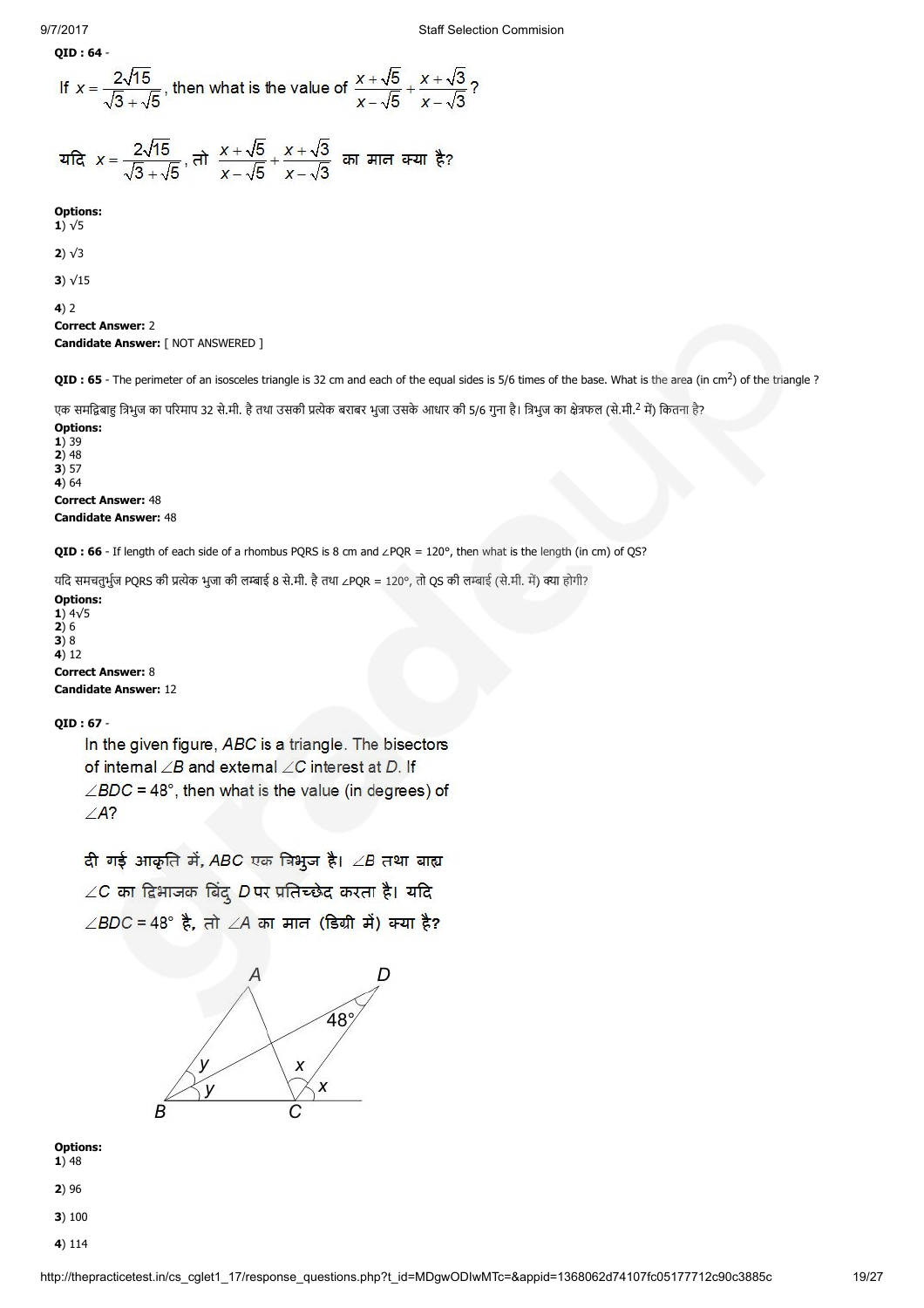$$
QID: 64 -
$$

If 
$$
x = \frac{2\sqrt{15}}{\sqrt{3} + \sqrt{5}}
$$
, then what is the value of  $\frac{x + \sqrt{5}}{x - \sqrt{5}} + \frac{x + \sqrt{3}}{x - \sqrt{3}}$ ?

यदि 
$$
x = \frac{2\sqrt{15}}{\sqrt{3} + \sqrt{5}}
$$
,  $\overrightarrow{r} = \frac{x + \sqrt{5}}{x - \sqrt{5}} + \frac{x + \sqrt{3}}{x - \sqrt{3}}$  an *मान* क्या  $\xi$ ?

Options:

1)  $\sqrt{5}$ 

2) √3

3) √15

4) 2

```
Correct Answer: 2
Candidate Answer: [ NOT ANSWERED ]
```
QID : 65 - The perimeter of an isosceles triangle is 32 cm and each of the equal sides is 5/6 times of the base. What is the area (in cm<sup>2</sup>) of the triangle ?

एक समद्विबाहु त्रिभुज का परिमाप 32 से.मी. है तथा उसकी प्रत्येक बराबर भुजा उसके आधार की 5/6 गुना है। त्रिभुज का क्षेत्रफल (से.मी.<sup>2</sup> में) कितना है?

Options: 1) 39 2) 48  $3) 57$  $4)64$ Correct Answer: 48 Candidate Answer: 48

QID : 66 - If length of each side of a rhombus PQRS is 8 cm and ∠PQR = 120°, then what is the length (in cm) of QS?

यदि समचतुर्भुज PQRS की प्रत्येक भुजा की लम्बाई 8 से.मी. है तथा ∠PQR = 120°, तो QS की लम्बाई (से.मी. में) क्या होगी?

Options: 1) 4√5 2) 6  $3)8$  $4)12$ Correct Answer: 8 Candidate Answer: 12

# QID : 67 -

In the given figure, ABC is a triangle. The bisectors of internal  $\angle B$  and external  $\angle C$  interest at D. If  $\angle BDC = 48^\circ$ , then what is the value (in degrees) of  $\angle A$ ?

दी गई आकृति में, ABC एक त्रिभूज है।  $\angle B$  तथा बाह्य  $\angle C$  का दिभाजक बिंदु D पर प्रतिच्छेद करता है। यदि  $\angle BDC = 48^\circ$  है, तो  $\angle A$  का मान (डिग्री में) क्या है?



Options:  $1)$  48

2) 96

- 3) 100
- 
- 4) 114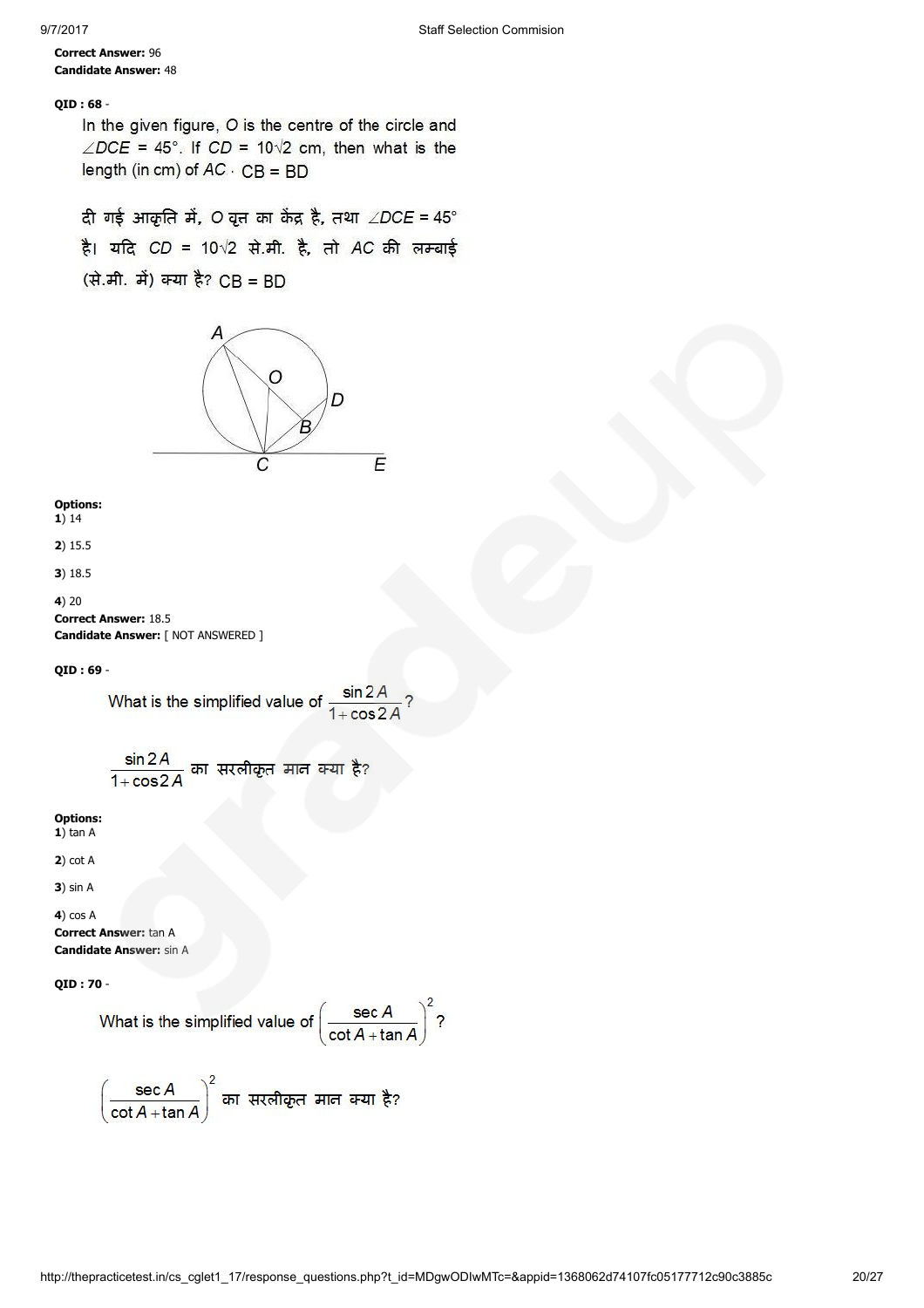# Correct Answer: 96 Candidate Answer: 48

# QID : 68 -

In the given figure, O is the centre of the circle and  $\angle DCE = 45^{\circ}$ . If  $CD = 10\sqrt{2}$  cm, then what is the length (in cm) of  $AC \cdot CB = BD$ 

दी गई आकृति में, O वृत्त का केंद्र है, तथा  $\angle$ DCE = 45°

है। यदि CD = 10 $\sqrt{2}$  से.मी. है, तो AC की लम्बाई

(से.मी. में) क्या है? CB = BD



Options: 1) 14

2) 15.5

3) 18.5

4) 20 Correct Answer: 18.5 Candidate Answer: [ NOT ANSWERED ]

QID : 69 -

What is the simplified value of 
$$
\frac{\sin 2A}{1 + \cos 2A}
$$
?

 $\frac{\sin 2A}{1+\cos 2A}$  का सरलीकृत मान क्या है?

Options:  $1)$  tan A

2) cot A

3) sin A

4) cos A Correct Answer: tan A Candidate Answer: sin A

QID : 70 -

What is the simplified value of 
$$
\left(\frac{\sec A}{\cot A + \tan A}\right)^2
$$
?

$$
\left(\frac{\sec A}{\cot A + \tan A}\right)^2
$$
 an *π*π *π* **π** *π* **π** *π* **π π π π π π π π π π π π π π π π π π π π π π π π π π π π π π π π π π π π π π π π π π π π π π π π π π π π π π π π π π π π π π π π π π π π π π π π π π π π π π π π π π π π π π π π π π π π π π π π π π π** <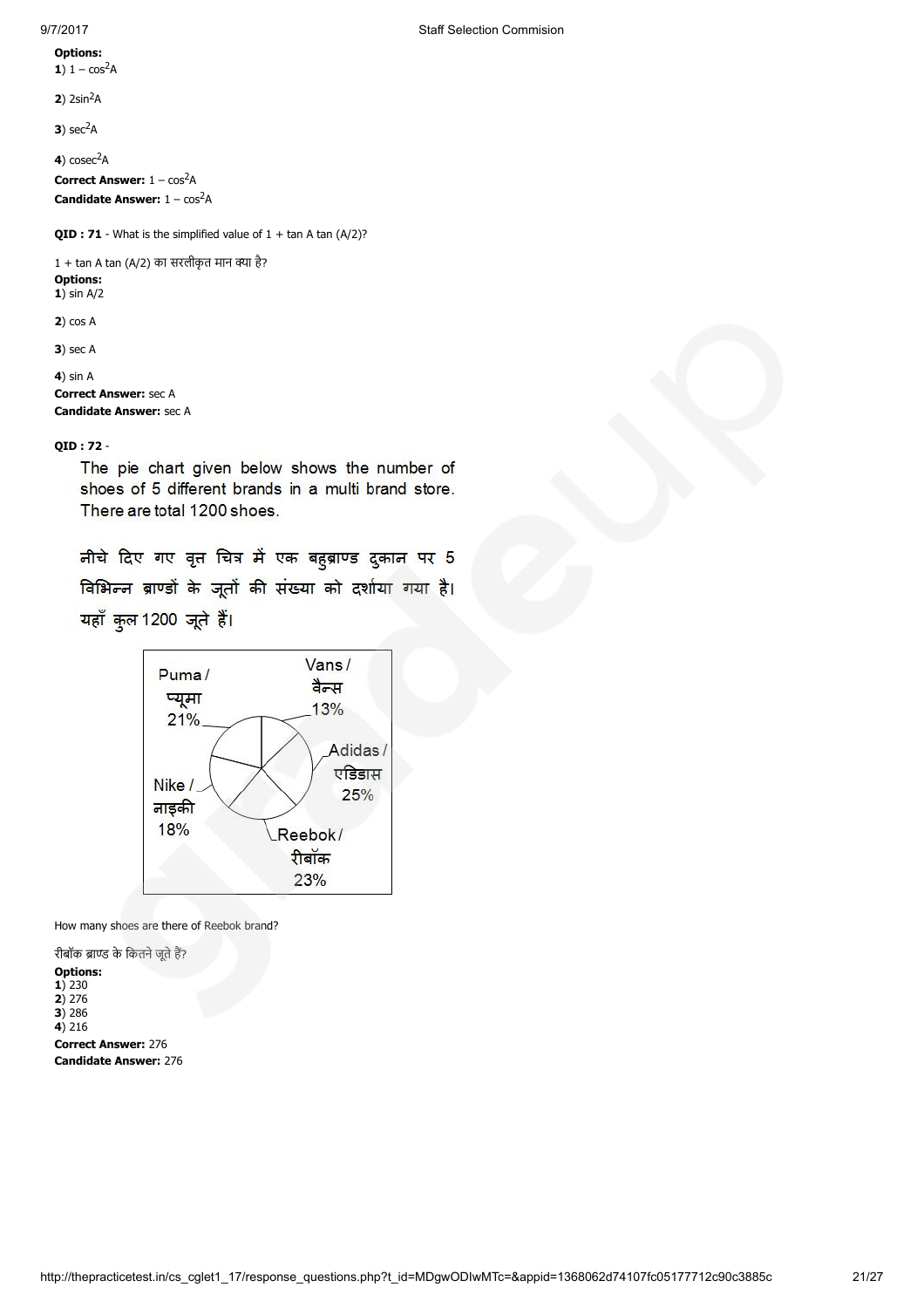Options: 1)  $1 - \cos^2 A$ 

 $2)$  2sin<sup>2</sup>A

 $3)$  sec<sup>2</sup>A

 $4)$  cosec<sup>2</sup>A

**Correct Answer:**  $1 - \cos^2 A$ **Candidate Answer:**  $1 - \cos^2 A$ 

**QID : 71** - What is the simplified value of  $1 + \tan A \tan (A/2)$ ?

 $1 + \tan A \tan (A/2)$  का सरलीकृत मान क्या है? Options:  $1)$  sin A/2

2) cos A

**3**) sec A

4) sin A

Correct Answer: sec A Candidate Answer: sec A

# QID : 72 -

The pie chart given below shows the number of shoes of 5 different brands in a multi brand store. There are total 1200 shoes.

नीचे दिए गए वृत चित्र में एक बहुब्राण्ड दुकान पर 5 विभिन्न ब्राण्डों के जूतों की संख्या को दर्शाया गया है। यहाँ कुल 1200 जूते हैं।



How many shoes are there of Reebok brand?

रीबॉक ब्राण्ड के कितने जूते हैं? Options: 1) 230 2) 276  $3) 286$  $4) 216$ Correct Answer: 276 Candidate Answer: 276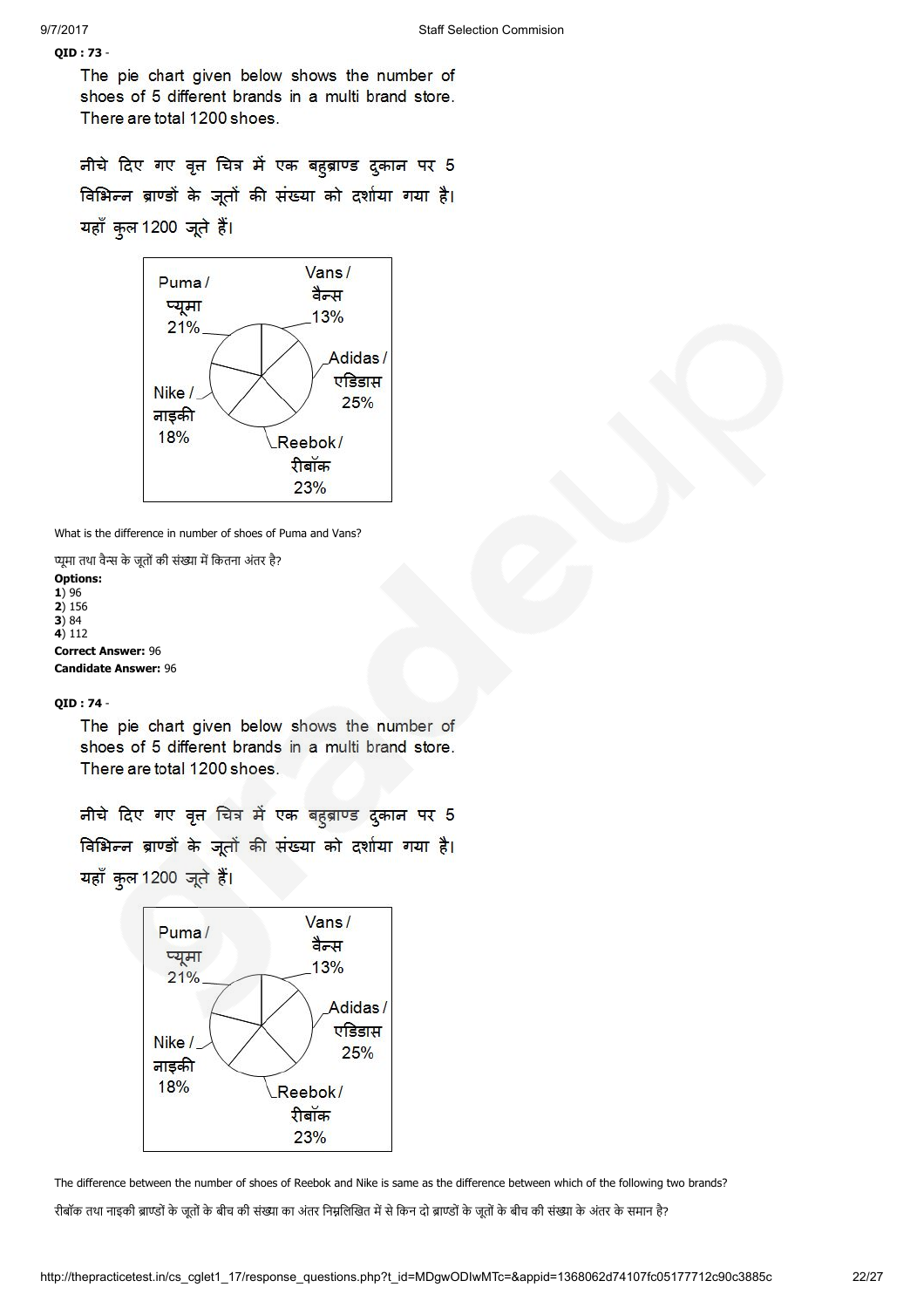# QID : 73 -

The pie chart given below shows the number of shoes of 5 different brands in a multi brand store. There are total 1200 shoes.

नीचे दिए गए वृत चित्र में एक बहुब्राण्ड दुकान पर 5 विभिन्न ब्राण्डों के जूतों की संख्या को दर्शाया गया है। यहाँ कुल 1200 जूते हैं।



What is the difference in number of shoes of Puma and Vans?

प्यूमा तथा वैन्स के जूतों की संख्या में कितना अंतर है? Options:  $1)$  96  $2) 156$  $3) 84$ 4) 112

Correct Answer: 96 Candidate Answer: 96

# QID : 74 -

The pie chart given below shows the number of shoes of 5 different brands in a multi brand store. There are total 1200 shoes.

नीचे दिए गए वृत चित्र में एक बहुब्राण्ड दुकान पर 5 विभिन्न ब्राण्डों के जूतों की संख्या को दर्शाया गया है। यहाँ कुल 1200 जूते हैं।



The difference between the number of shoes of Reebok and Nike is same as the difference between which of the following two brands? रीबॉक तथा नाइकी ब्राण्डों के जूतों के बीच की संख्या का अंतर निम्नलिखित में से किन दो ब्राण्डों के जूतों के बीच की संख्या के अंतर के समान है?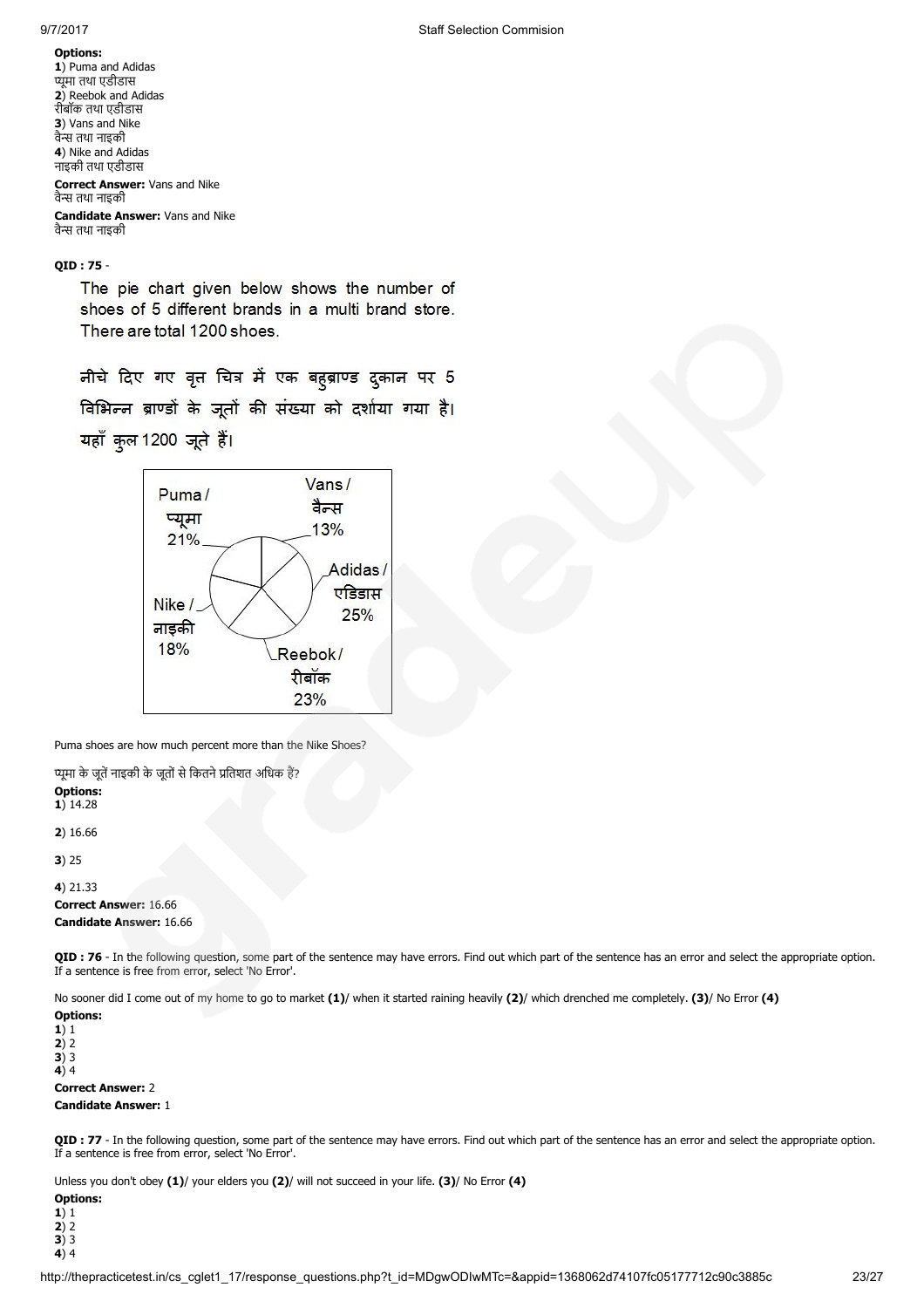Options: 1) Puma and Adidas ूमा तथा एडीडास 2) Reebok and Adidas रीबॉक तथा एडीडास 3) Vans and Nike वै तथा नाइकी 4) Nike and Adidas नाइकी तथा एडीडास Correct Answer: Vans and Nike वै तथा नाइकी Candidate Answer: Vans and Nike वै तथा नाइकी

# QID : 75 -

The pie chart given below shows the number of shoes of 5 different brands in a multi brand store. There are total 1200 shoes.

नीचे दिए गए वृत्त चित्र में एक बहब्राण्ड द्रुकान पर 5 विभिन्न ब्राण्डों के जूतों की संख्या को दर्शाया गया है। यहाँ कुल 1200 जूते हैं।



Puma shoes are how much percent more than the Nike Shoes?

प्यूमा के जूतें नाइकी के जूतों से कितने प्रतिशत अधिक हैं? Options: 1) 14.28

2) 16.66

3) 25

4) 21.33 Correct Answer: 16.66 Candidate Answer: 16.66

QID : 76 - In the following question, some part of the sentence may have errors. Find out which part of the sentence has an error and select the appropriate option. If a sentence is free from error, select 'No Error'.

No sooner did I come out of my home to go to market (1)/ when it started raining heavily (2)/ which drenched me completely. (3)/ No Error (4)

Options:  $1)1$  $2)2$  $3)3$ 4) 4

Correct Answer: 2

Candidate Answer: 1

QID : 77 - In the following question, some part of the sentence may have errors. Find out which part of the sentence has an error and select the appropriate option. If a sentence is free from error, select 'No Error'.

Unless you don't obey (1)/ your elders you (2)/ will not succeed in your life. (3)/ No Error (4)

Options: 1) 1 2) 2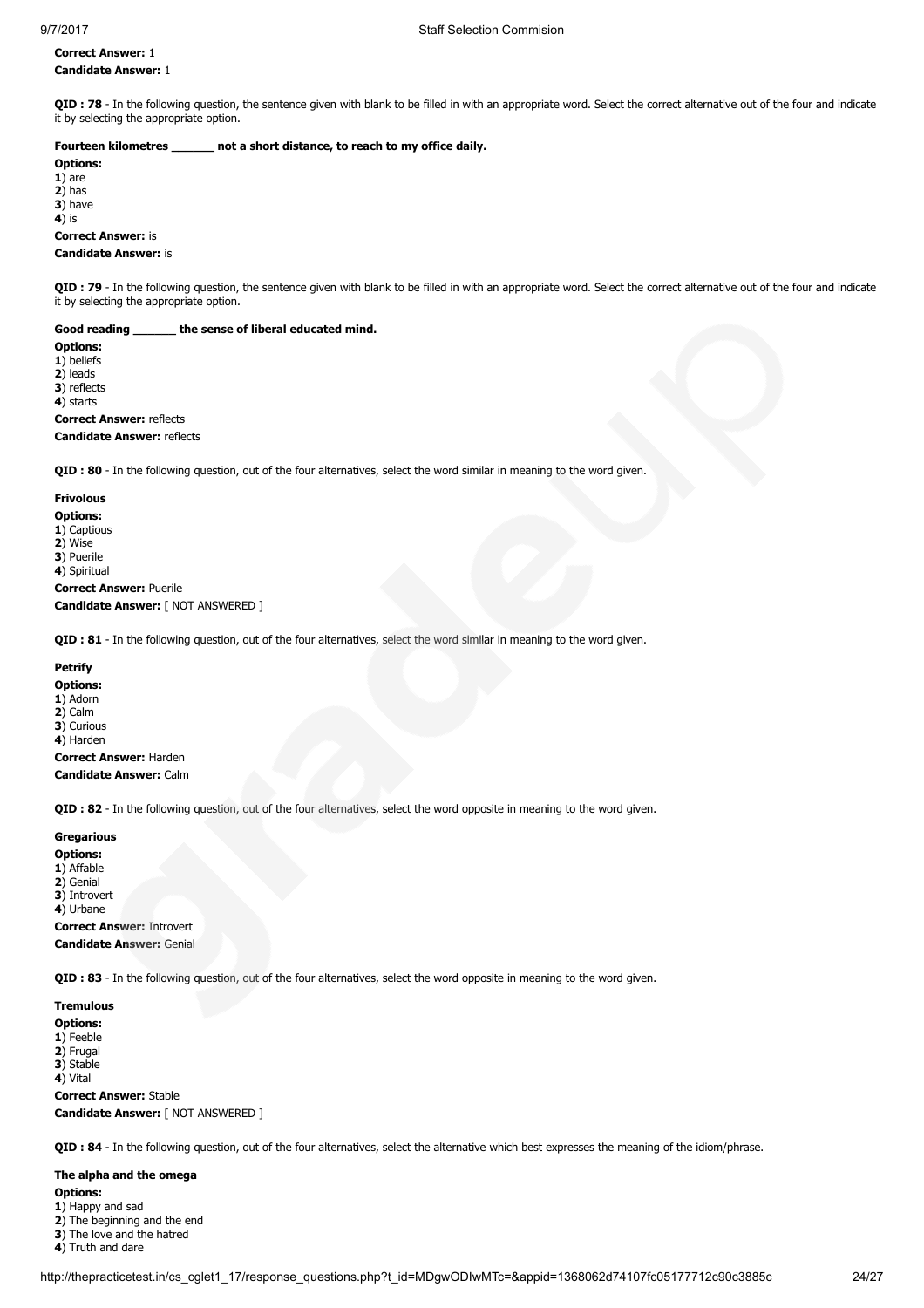# Correct Answer: 1 Candidate Answer: 1

QID : 78 - In the following question, the sentence given with blank to be filled in with an appropriate word. Select the correct alternative out of the four and indicate it by selecting the appropriate option.

### Fourteen kilometres \_\_\_\_\_\_ not a short distance, to reach to my office daily.

Options:  $1)$  are 2) has 3) have  $\overrightarrow{4}$  is

### Correct Answer: is Candidate Answer: is

QID : 79 - In the following question, the sentence given with blank to be filled in with an appropriate word. Select the correct alternative out of the four and indicate it by selecting the appropriate option.

### Good reading \_\_\_\_\_\_ the sense of liberal educated mind.

Options: 1) beliefs 2) leads 3) reflects 4) starts Correct Answer: reflects Candidate Answer: reflects

QID : 80 - In the following question, out of the four alternatives, select the word similar in meaning to the word given.

### Frivolous

Options: 1) Captious

2) Wise

3) Puerile

4) Spiritual

Correct Answer: Puerile Candidate Answer: [ NOT ANSWERED ]

QID : 81 - In the following question, out of the four alternatives, select the word similar in meaning to the word given.

### **Petrify**

Options:

1) Adorn 2) Calm

3) Curious

4) Harden

Correct Answer: Harden

Candidate Answer: Calm

QID : 82 - In the following question, out of the four alternatives, select the word opposite in meaning to the word given.

### **Gregarious**

Options:

1) Affable

2) Genial

3) Introvert 4) Urbane

Correct Answer: Introvert Candidate Answer: Genial

QID : 83 - In the following question, out of the four alternatives, select the word opposite in meaning to the word given.

### Tremulous

Options:

1) Feeble

2) Frugal

3) Stable

4) Vital

Correct Answer: Stable Candidate Answer: [ NOT ANSWERED ]

QID : 84 - In the following question, out of the four alternatives, select the alternative which best expresses the meaning of the idiom/phrase.

# The alpha and the omega

Options:

1) Happy and sad

- 2) The beginning and the end 3) The love and the hatred
- 4) Truth and dare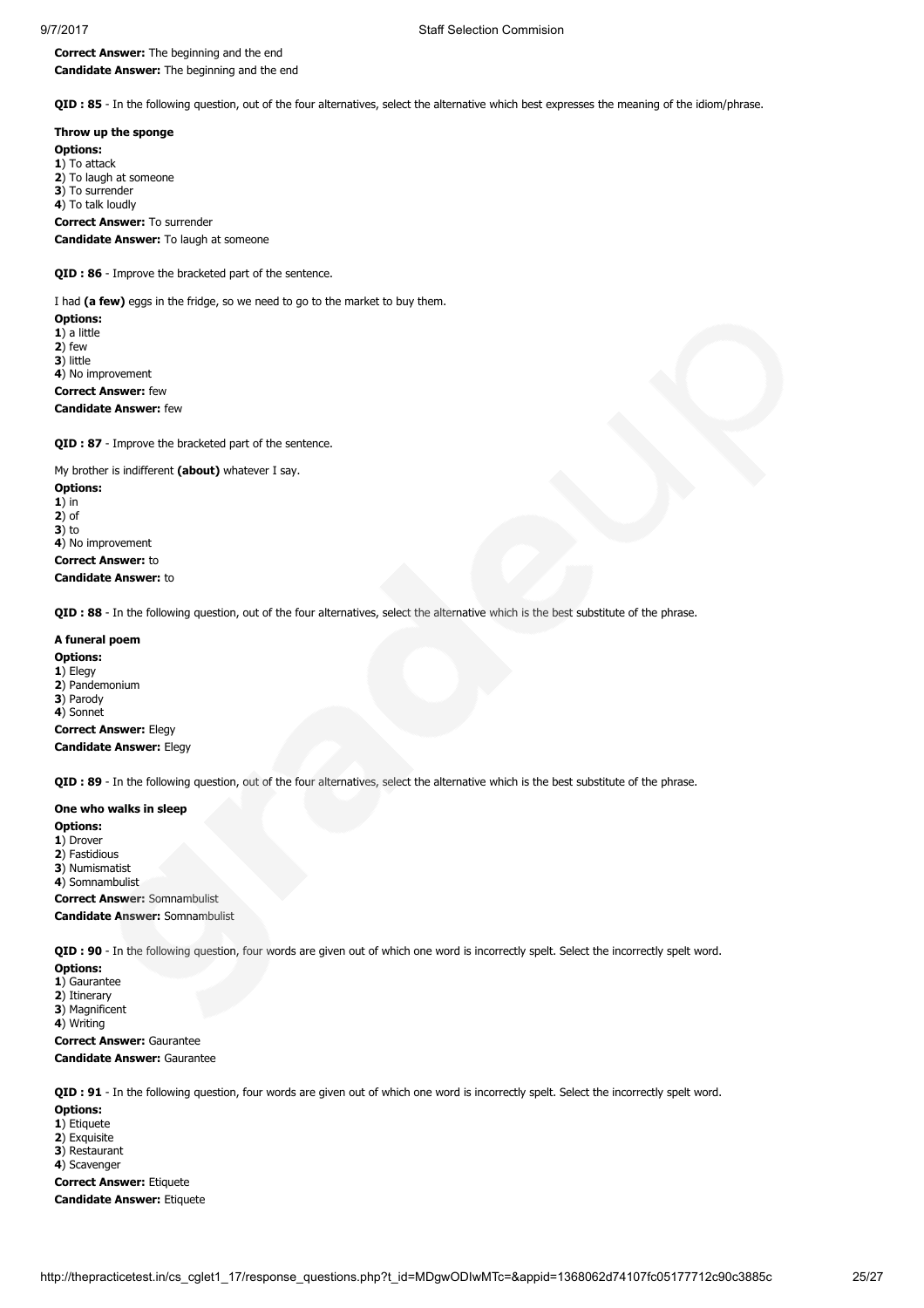Correct Answer: The beginning and the end Candidate Answer: The beginning and the end

QID : 85 - In the following question, out of the four alternatives, select the alternative which best expresses the meaning of the idiom/phrase.

Throw up the sponge Options:

1) To attack 2) To laugh at someone 3) To surrender 4) To talk loudly Correct Answer: To surrender Candidate Answer: To laugh at someone

QID : 86 - Improve the bracketed part of the sentence.

I had (a few) eggs in the fridge, so we need to go to the market to buy them.

Options: 1) a little 2) few 3) little 4) No improvement Correct Answer: few Candidate Answer: few

QID : 87 - Improve the bracketed part of the sentence.

My brother is indifferent (about) whatever I say.

Options: 1) in 2) of  $3$ ) to 4) No improvement Correct Answer: to Candidate Answer: to

QID : 88 - In the following question, out of the four alternatives, select the alternative which is the best substitute of the phrase.

# A funeral poem

Options: 1) Elegy 2) Pandemonium 3) Parody 4) Sonnet Correct Answer: Flegy Candidate Answer: Elegy

QID : 89 - In the following question, out of the four alternatives, select the alternative which is the best substitute of the phrase.

### One who walks in sleep

Options:

1) Drover

2) Fastidious 3) Numismatist

4) Somnambulist

Correct Answer: Somnambulist

Candidate Answer: Somnambulist

QID : 90 - In the following question, four words are given out of which one word is incorrectly spelt. Select the incorrectly spelt word.

# Options:

1) Gaurantee 2) Itinerary

3) Magnificent

4) Writing

Correct Answer: Gaurantee

# Candidate Answer: Gaurantee

QID : 91 - In the following question, four words are given out of which one word is incorrectly spelt. Select the incorrectly spelt word.

Options:

1) Etiquete

2) Exquisite

3) Restaurant

4) Scavenger

Correct Answer: Etiquete Candidate Answer: Etiquete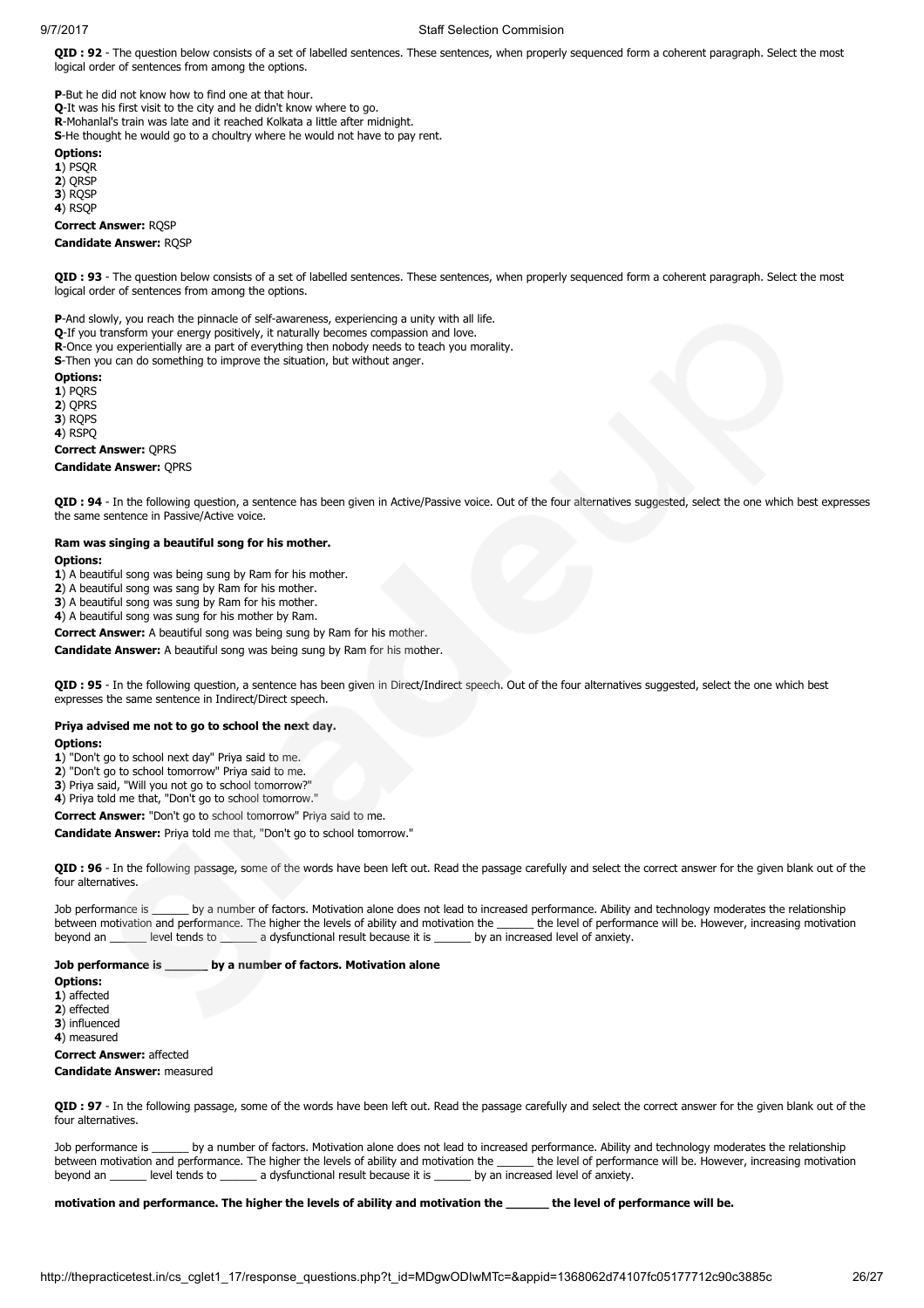### 9/7/2017 Staff Selection Commision

QID: 92 - The question below consists of a set of labelled sentences. These sentences, when properly sequenced form a coherent paragraph. Select the most logical order of sentences from among the options.

P-But he did not know how to find one at that hour. Q-It was his first visit to the city and he didn't know where to go. R-Mohanlal's train was late and it reached Kolkata a little after midnight. S-He thought he would go to a choultry where he would not have to pay rent.

Options:

 $1)$  PSOR

2) ORSP

3) RQSP

4) RSQP

Correct Answer: RQSP Candidate Answer: RQSP

QID : 93 - The question below consists of a set of labelled sentences. These sentences, when properly sequenced form a coherent paragraph. Select the most logical order of sentences from among the options.

P-And slowly, you reach the pinnacle of self-awareness, experiencing a unity with all life.

Q-If you transform your energy positively, it naturally becomes compassion and love.

R-Once you experientially are a part of everything then nobody needs to teach you morality.

S-Then you can do something to improve the situation, but without anger.

Options:

1) PQRS

2) QPRS

3) ROPS

4) RSPQ

Correct Answer: QPRS

#### Candidate Answer: QPRS

QID : 94 - In the following question, a sentence has been given in Active/Passive voice. Out of the four alternatives suggested, select the one which best expresses the same sentence in Passive/Active voice.

#### Ram was singing a beautiful song for his mother. Options:

1) A beautiful song was being sung by Ram for his mother.

2) A beautiful song was sang by Ram for his mother.

3) A beautiful song was sung by Ram for his mother.

4) A beautiful song was sung for his mother by Ram.

Correct Answer: A beautiful song was being sung by Ram for his mother.

Candidate Answer: A beautiful song was being sung by Ram for his mother.

QID : 95 - In the following question, a sentence has been given in Direct/Indirect speech. Out of the four alternatives suggested, select the one which best expresses the same sentence in Indirect/Direct speech.

### Priya advised me not to go to school the next day.

Ontions:

1) "Don't go to school next day" Priya said to me.

2) "Don't go to school tomorrow" Priya said to me.

3) Priya said, "Will you not go to school tomorrow?"

4) Priya told me that, "Don't go to school tomorrow."

Correct Answer: "Don't go to school tomorrow" Priya said to me.

Candidate Answer: Priya told me that, "Don't go to school tomorrow."

QID : 96 - In the following passage, some of the words have been left out. Read the passage carefully and select the correct answer for the given blank out of the four alternatives.

Job performance is \_\_\_\_\_\_ by a number of factors. Motivation alone does not lead to increased performance. Ability and technology moderates the relationship<br>between motivation and performance. The higher the levels of abil between motivation and performance. The higher the levels of ability and motivation the beyond an \_\_\_\_\_\_ level tends to \_\_\_\_\_\_ a dysfunctional result because it is \_\_\_\_\_\_ by an increased level of anxiety.

### Job performance is \_\_\_\_\_\_ by a number of factors. Motivation alone

Options:

1) affected

2) effected

3) influenced

4) measured

# Correct Answer: affected

### Candidate Answer: measured

QID : 97 - In the following passage, some of the words have been left out. Read the passage carefully and select the correct answer for the given blank out of the four alternatives.

Job performance is \_\_\_\_\_\_ by a number of factors. Motivation alone does not lead to increased performance. Ability and technology moderates the relationship between motivation and performance. The higher the levels of ability and motivation the \_\_\_\_\_\_ the level of performance will be. However, increasing motivation beyond an \_\_\_\_\_\_ level tends to \_\_\_\_\_\_ a dysfunctional result because it is \_\_\_\_\_\_ by an increased level of anxiety.

motivation and performance. The higher the levels of ability and motivation the \_\_\_\_\_\_ the level of performance will be.